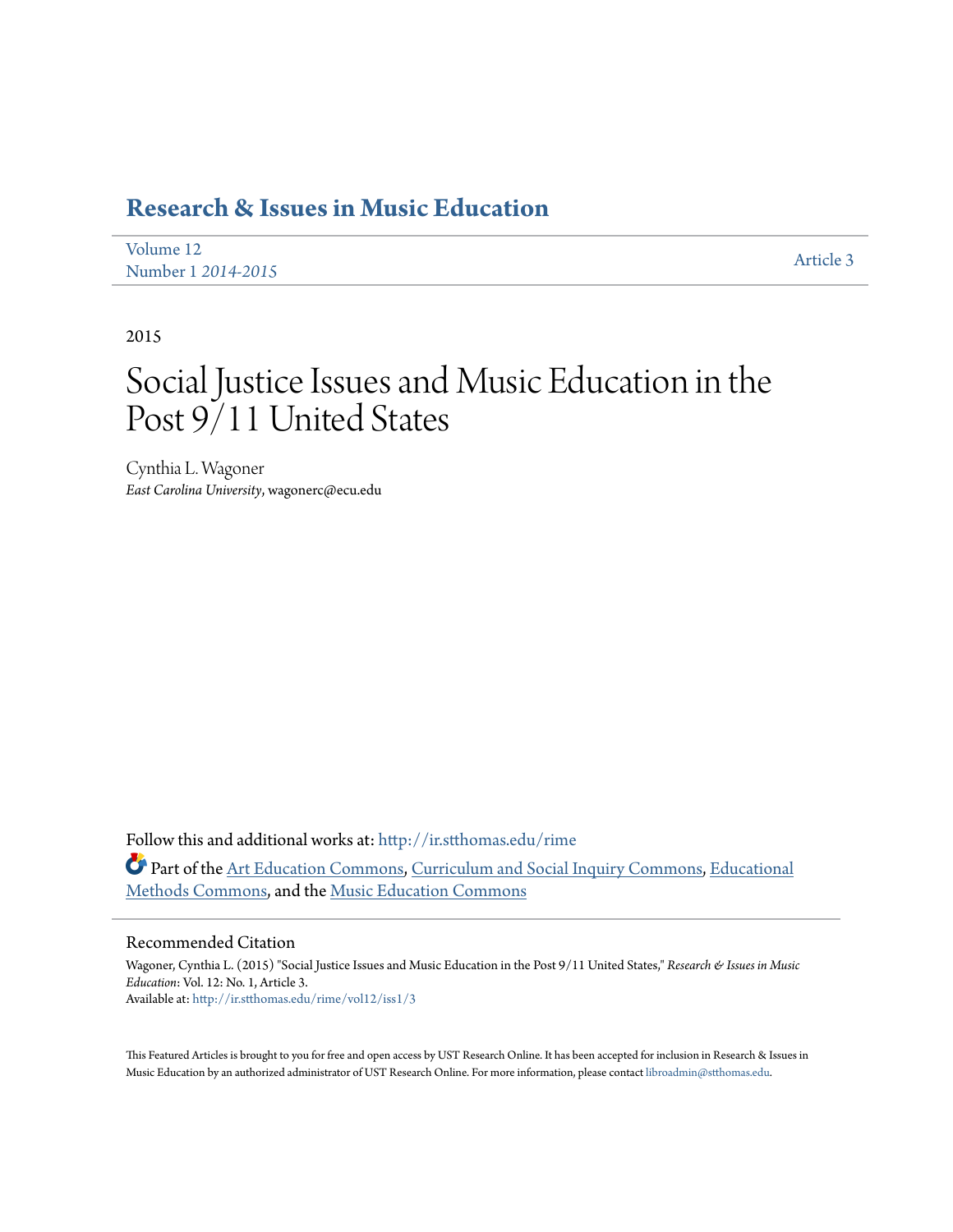# **[Research & Issues in Music Education](http://ir.stthomas.edu/rime?utm_source=ir.stthomas.edu%2Frime%2Fvol12%2Fiss1%2F3&utm_medium=PDF&utm_campaign=PDFCoverPages)**

| Volume 12          | Article 3 |
|--------------------|-----------|
| Number 1 2014-2015 |           |

2015

# Social Justice Issues and Music Education in the Post 9/11 United States

Cynthia L. Wagoner *East Carolina University*, wagonerc@ecu.edu

Follow this and additional works at: [http://ir.stthomas.edu/rime](http://ir.stthomas.edu/rime?utm_source=ir.stthomas.edu%2Frime%2Fvol12%2Fiss1%2F3&utm_medium=PDF&utm_campaign=PDFCoverPages) Part of the [Art Education Commons,](http://network.bepress.com/hgg/discipline/1149?utm_source=ir.stthomas.edu%2Frime%2Fvol12%2Fiss1%2F3&utm_medium=PDF&utm_campaign=PDFCoverPages) [Curriculum and Social Inquiry Commons,](http://network.bepress.com/hgg/discipline/1038?utm_source=ir.stthomas.edu%2Frime%2Fvol12%2Fiss1%2F3&utm_medium=PDF&utm_campaign=PDFCoverPages) [Educational](http://network.bepress.com/hgg/discipline/1227?utm_source=ir.stthomas.edu%2Frime%2Fvol12%2Fiss1%2F3&utm_medium=PDF&utm_campaign=PDFCoverPages) [Methods Commons,](http://network.bepress.com/hgg/discipline/1227?utm_source=ir.stthomas.edu%2Frime%2Fvol12%2Fiss1%2F3&utm_medium=PDF&utm_campaign=PDFCoverPages) and the [Music Education Commons](http://network.bepress.com/hgg/discipline/1246?utm_source=ir.stthomas.edu%2Frime%2Fvol12%2Fiss1%2F3&utm_medium=PDF&utm_campaign=PDFCoverPages)

#### Recommended Citation

Wagoner, Cynthia L. (2015) "Social Justice Issues and Music Education in the Post 9/11 United States," *Research & Issues in Music Education*: Vol. 12: No. 1, Article 3. Available at: [http://ir.stthomas.edu/rime/vol12/iss1/3](http://ir.stthomas.edu/rime/vol12/iss1/3?utm_source=ir.stthomas.edu%2Frime%2Fvol12%2Fiss1%2F3&utm_medium=PDF&utm_campaign=PDFCoverPages)

This Featured Articles is brought to you for free and open access by UST Research Online. It has been accepted for inclusion in Research & Issues in Music Education by an authorized administrator of UST Research Online. For more information, please contact [libroadmin@stthomas.edu.](mailto:libroadmin@stthomas.edu)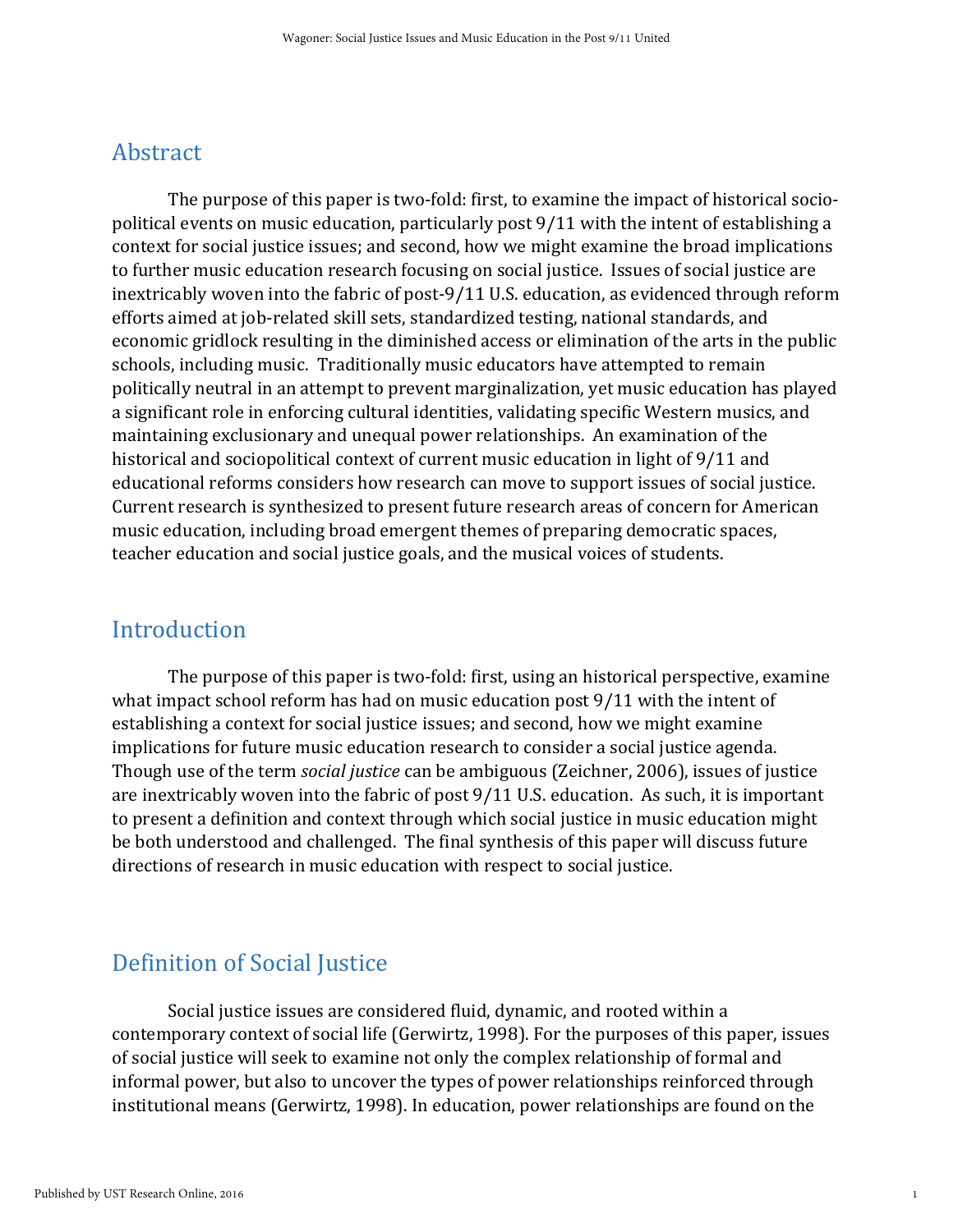#### Abstract

The purpose of this paper is two-fold: first, to examine the impact of historical sociopolitical events on music education, particularly post 9/11 with the intent of establishing a context for social justice issues; and second, how we might examine the broad implications to further music education research focusing on social justice. Issues of social justice are inextricably woven into the fabric of post-9/11 U.S. education, as evidenced through reform efforts aimed at job-related skill sets, standardized testing, national standards, and economic gridlock resulting in the diminished access or elimination of the arts in the public schools, including music. Traditionally music educators have attempted to remain politically neutral in an attempt to prevent marginalization, yet music education has played a significant role in enforcing cultural identities, validating specific Western musics, and maintaining exclusionary and unequal power relationships. An examination of the historical and sociopolitical context of current music education in light of 9/11 and educational reforms considers how research can move to support issues of social justice. Current research is synthesized to present future research areas of concern for American music education, including broad emergent themes of preparing democratic spaces, teacher education and social justice goals, and the musical voices of students.

#### Introduction

The purpose of this paper is two-fold: first, using an historical perspective, examine what impact school reform has had on music education post 9/11 with the intent of establishing a context for social justice issues; and second, how we might examine implications for future music education research to consider a social justice agenda. Though use of the term *social justice* can be ambiguous (Zeichner, 2006), issues of justice are inextricably woven into the fabric of post 9/11 U.S. education. As such, it is important to present a definition and context through which social justice in music education might be both understood and challenged. The final synthesis of this paper will discuss future directions of research in music education with respect to social justice.

## Definition of Social Justice

Social justice issues are considered fluid, dynamic, and rooted within a contemporary context of social life (Gerwirtz, 1998). For the purposes of this paper, issues of social justice will seek to examine not only the complex relationship of formal and informal power, but also to uncover the types of power relationships reinforced through institutional means (Gerwirtz, 1998). In education, power relationships are found on the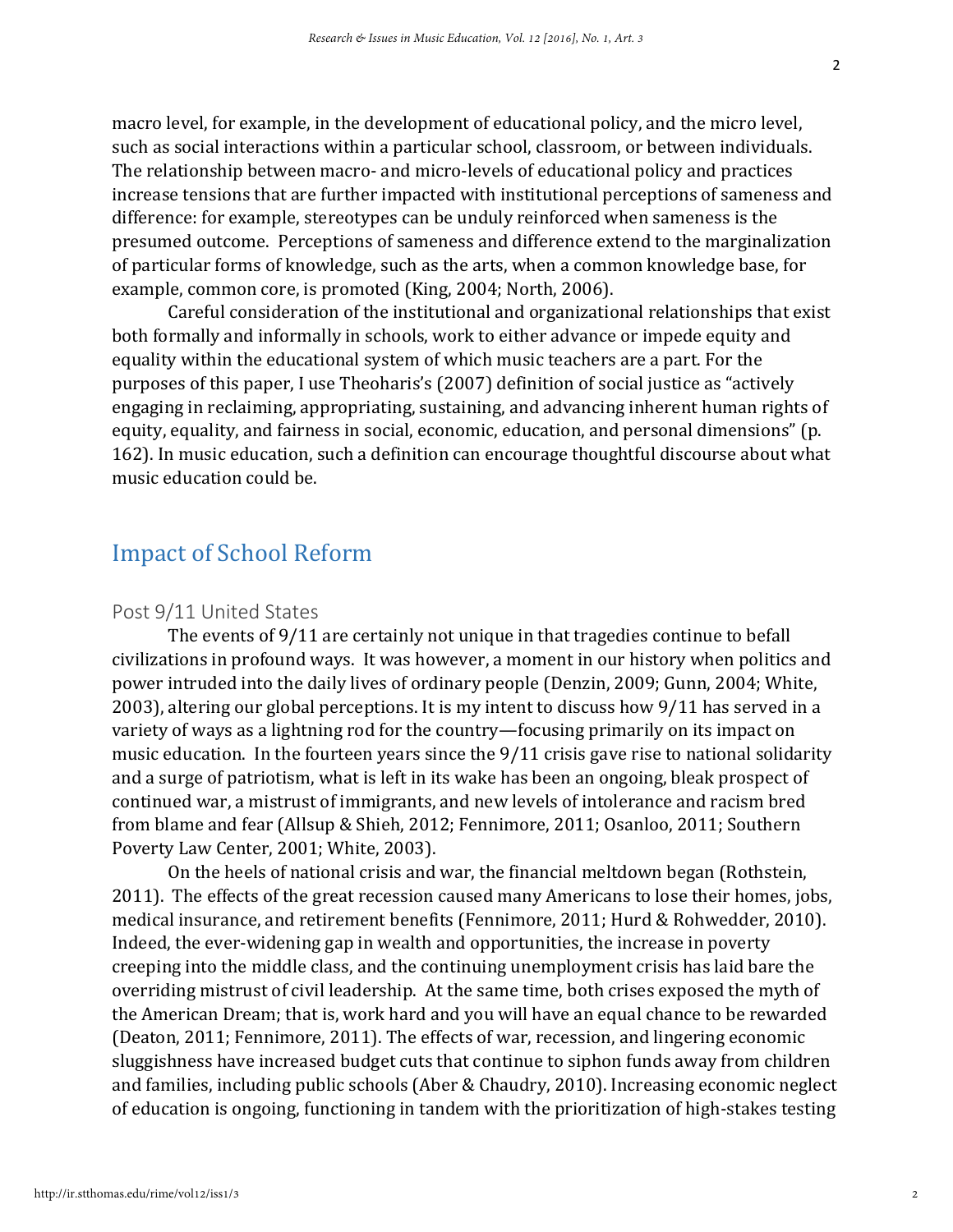macro level, for example, in the development of educational policy, and the micro level, such as social interactions within a particular school, classroom, or between individuals. The relationship between macro- and micro-levels of educational policy and practices increase tensions that are further impacted with institutional perceptions of sameness and difference: for example, stereotypes can be unduly reinforced when sameness is the presumed outcome. Perceptions of sameness and difference extend to the marginalization of particular forms of knowledge, such as the arts, when a common knowledge base, for example, common core, is promoted (King, 2004; North, 2006).

Careful consideration of the institutional and organizational relationships that exist both formally and informally in schools, work to either advance or impede equity and equality within the educational system of which music teachers are a part. For the purposes of this paper, I use Theoharis's (2007) definition of social justice as "actively engaging in reclaiming, appropriating, sustaining, and advancing inherent human rights of equity, equality, and fairness in social, economic, education, and personal dimensions" (p. 162). In music education, such a definition can encourage thoughtful discourse about what music education could be.

### Impact of School Reform

#### Post 9/11 United States

The events of 9/11 are certainly not unique in that tragedies continue to befall civilizations in profound ways. It was however, a moment in our history when politics and power intruded into the daily lives of ordinary people (Denzin, 2009; Gunn, 2004; White, 2003), altering our global perceptions. It is my intent to discuss how 9/11 has served in a variety of ways as a lightning rod for the country—focusing primarily on its impact on music education. In the fourteen years since the 9/11 crisis gave rise to national solidarity and a surge of patriotism, what is left in its wake has been an ongoing, bleak prospect of continued war, a mistrust of immigrants, and new levels of intolerance and racism bred from blame and fear (Allsup & Shieh, 2012; Fennimore, 2011; Osanloo, 2011; Southern Poverty Law Center, 2001; White, 2003).

On the heels of national crisis and war, the financial meltdown began (Rothstein, 2011). The effects of the great recession caused many Americans to lose their homes, jobs, medical insurance, and retirement benefits (Fennimore, 2011; Hurd & Rohwedder, 2010). Indeed, the ever-widening gap in wealth and opportunities, the increase in poverty creeping into the middle class, and the continuing unemployment crisis has laid bare the overriding mistrust of civil leadership. At the same time, both crises exposed the myth of the American Dream; that is, work hard and you will have an equal chance to be rewarded (Deaton, 2011; Fennimore, 2011). The effects of war, recession, and lingering economic sluggishness have increased budget cuts that continue to siphon funds away from children and families, including public schools (Aber & Chaudry, 2010). Increasing economic neglect of education is ongoing, functioning in tandem with the prioritization of high-stakes testing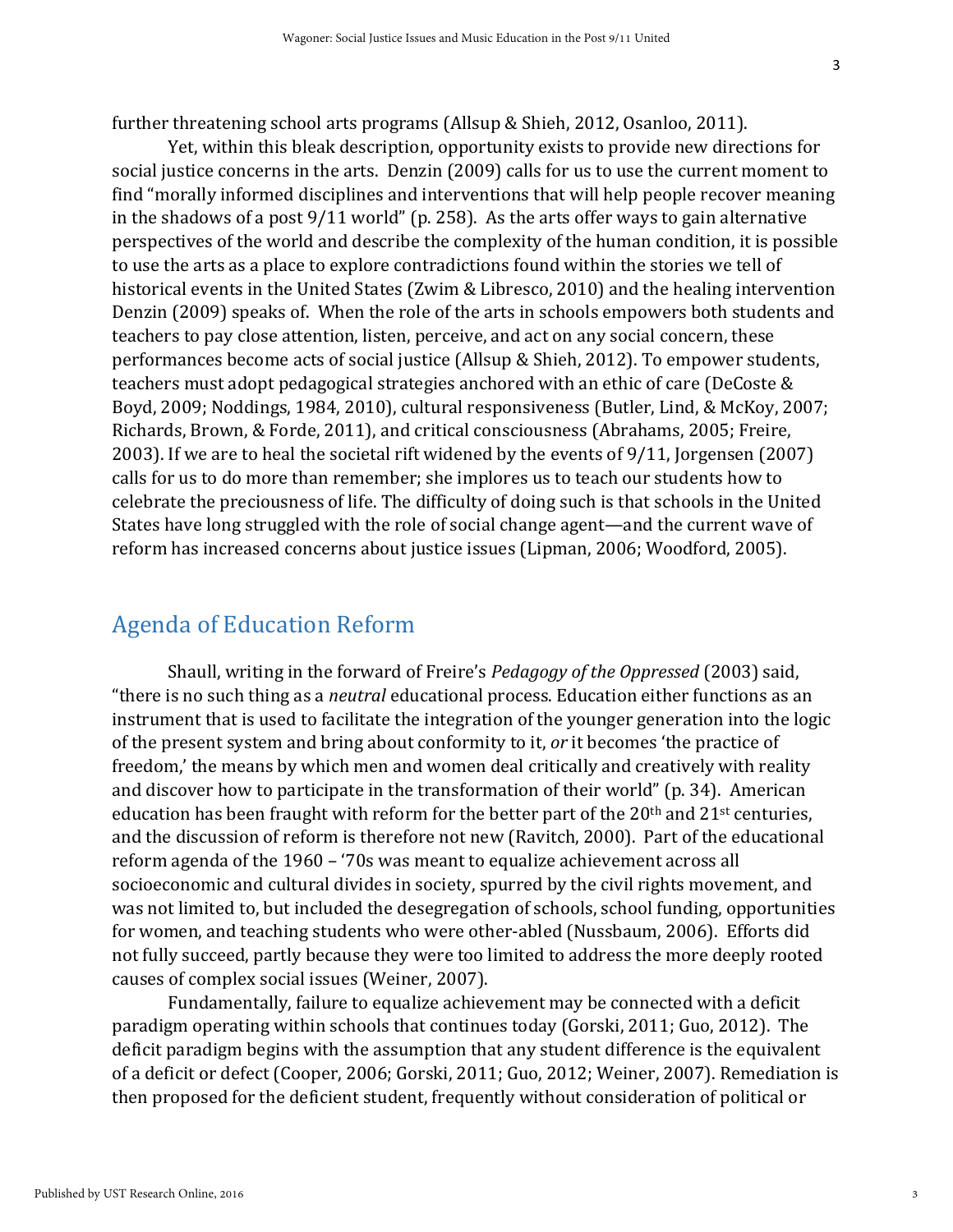further threatening school arts programs (Allsup & Shieh, 2012, Osanloo, 2011).

Yet, within this bleak description, opportunity exists to provide new directions for social justice concerns in the arts. Denzin (2009) calls for us to use the current moment to find "morally informed disciplines and interventions that will help people recover meaning in the shadows of a post 9/11 world" (p. 258). As the arts offer ways to gain alternative perspectives of the world and describe the complexity of the human condition, it is possible to use the arts as a place to explore contradictions found within the stories we tell of historical events in the United States (Zwim & Libresco, 2010) and the healing intervention Denzin (2009) speaks of. When the role of the arts in schools empowers both students and teachers to pay close attention, listen, perceive, and act on any social concern, these performances become acts of social justice (Allsup & Shieh, 2012). To empower students, teachers must adopt pedagogical strategies anchored with an ethic of care (DeCoste & Boyd, 2009; Noddings, 1984, 2010), cultural responsiveness (Butler, Lind, & McKoy, 2007; Richards, Brown, & Forde, 2011), and critical consciousness (Abrahams, 2005; Freire, 2003). If we are to heal the societal rift widened by the events of 9/11, Jorgensen (2007) calls for us to do more than remember; she implores us to teach our students how to celebrate the preciousness of life. The difficulty of doing such is that schools in the United States have long struggled with the role of social change agent—and the current wave of reform has increased concerns about justice issues (Lipman, 2006; Woodford, 2005).

#### Agenda of Education Reform

Shaull, writing in the forward of Freire's *Pedagogy of the Oppressed* (2003) said, "there is no such thing as a *neutral* educational process. Education either functions as an instrument that is used to facilitate the integration of the younger generation into the logic of the present system and bring about conformity to it, *or* it becomes 'the practice of freedom,' the means by which men and women deal critically and creatively with reality and discover how to participate in the transformation of their world" (p. 34). American education has been fraught with reform for the better part of the  $20<sup>th</sup>$  and  $21<sup>st</sup>$  centuries, and the discussion of reform is therefore not new (Ravitch, 2000). Part of the educational reform agenda of the 1960 – '70s was meant to equalize achievement across all socioeconomic and cultural divides in society, spurred by the civil rights movement, and was not limited to, but included the desegregation of schools, school funding, opportunities for women, and teaching students who were other-abled (Nussbaum, 2006). Efforts did not fully succeed, partly because they were too limited to address the more deeply rooted causes of complex social issues (Weiner, 2007).

Fundamentally, failure to equalize achievement may be connected with a deficit paradigm operating within schools that continues today (Gorski, 2011; Guo, 2012). The deficit paradigm begins with the assumption that any student difference is the equivalent of a deficit or defect (Cooper, 2006; Gorski, 2011; Guo, 2012; Weiner, 2007). Remediation is then proposed for the deficient student, frequently without consideration of political or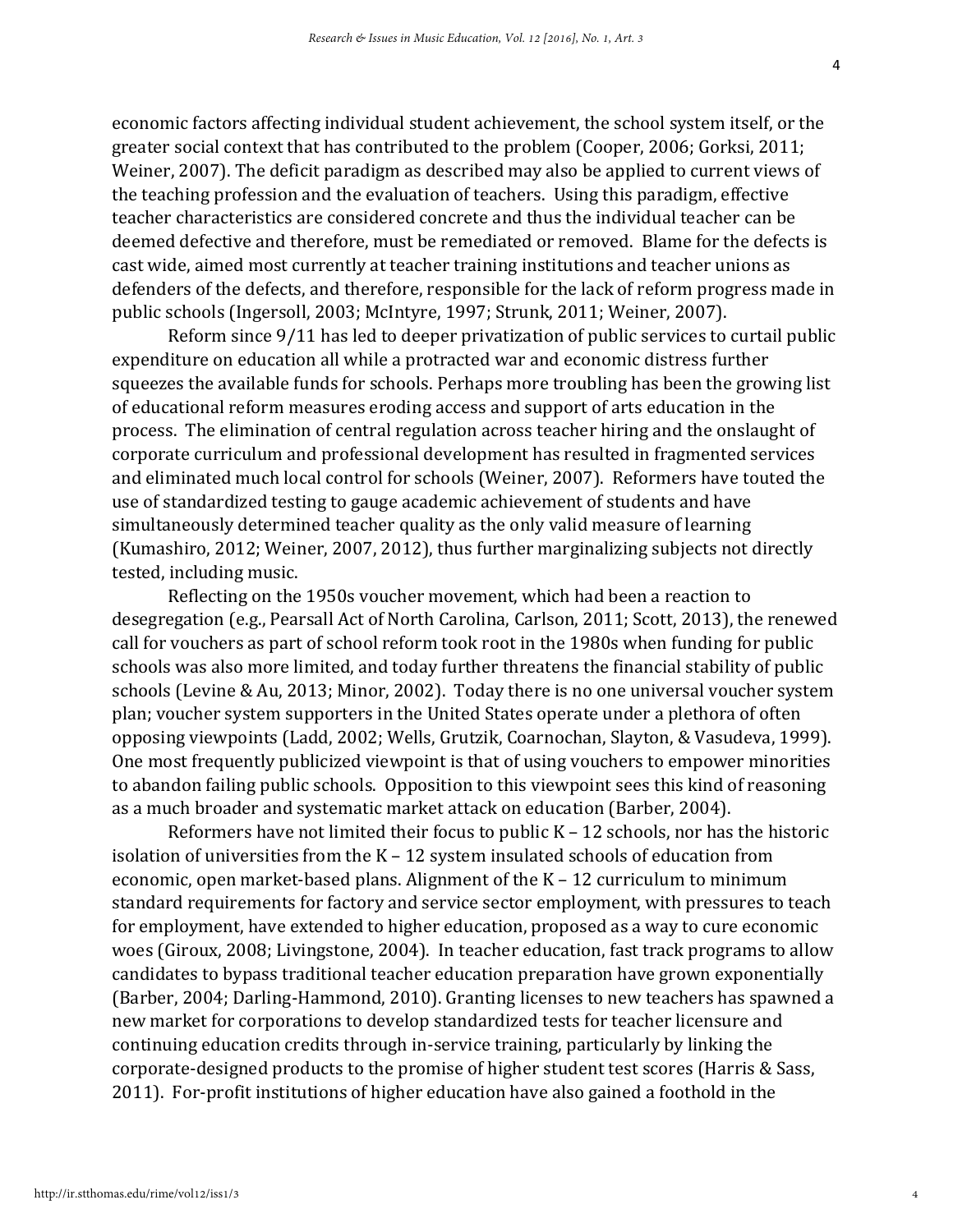economic factors affecting individual student achievement, the school system itself, or the greater social context that has contributed to the problem (Cooper, 2006; Gorksi, 2011; Weiner, 2007). The deficit paradigm as described may also be applied to current views of the teaching profession and the evaluation of teachers. Using this paradigm, effective teacher characteristics are considered concrete and thus the individual teacher can be deemed defective and therefore, must be remediated or removed. Blame for the defects is cast wide, aimed most currently at teacher training institutions and teacher unions as defenders of the defects, and therefore, responsible for the lack of reform progress made in public schools (Ingersoll, 2003; McIntyre, 1997; Strunk, 2011; Weiner, 2007).

Reform since 9/11 has led to deeper privatization of public services to curtail public expenditure on education all while a protracted war and economic distress further squeezes the available funds for schools. Perhaps more troubling has been the growing list of educational reform measures eroding access and support of arts education in the process. The elimination of central regulation across teacher hiring and the onslaught of corporate curriculum and professional development has resulted in fragmented services and eliminated much local control for schools (Weiner, 2007). Reformers have touted the use of standardized testing to gauge academic achievement of students and have simultaneously determined teacher quality as the only valid measure of learning (Kumashiro, 2012; Weiner, 2007, 2012), thus further marginalizing subjects not directly tested, including music.

Reflecting on the 1950s voucher movement, which had been a reaction to desegregation (e.g., Pearsall Act of North Carolina, Carlson, 2011; Scott, 2013), the renewed call for vouchers as part of school reform took root in the 1980s when funding for public schools was also more limited, and today further threatens the financial stability of public schools (Levine & Au, 2013; Minor, 2002). Today there is no one universal voucher system plan; voucher system supporters in the United States operate under a plethora of often opposing viewpoints (Ladd, 2002; Wells, Grutzik, Coarnochan, Slayton, & Vasudeva, 1999). One most frequently publicized viewpoint is that of using vouchers to empower minorities to abandon failing public schools. Opposition to this viewpoint sees this kind of reasoning as a much broader and systematic market attack on education (Barber, 2004).

Reformers have not limited their focus to public K – 12 schools, nor has the historic isolation of universities from the K – 12 system insulated schools of education from economic, open market-based plans. Alignment of the K – 12 curriculum to minimum standard requirements for factory and service sector employment, with pressures to teach for employment, have extended to higher education, proposed as a way to cure economic woes (Giroux, 2008; Livingstone, 2004). In teacher education, fast track programs to allow candidates to bypass traditional teacher education preparation have grown exponentially (Barber, 2004; Darling-Hammond, 2010). Granting licenses to new teachers has spawned a new market for corporations to develop standardized tests for teacher licensure and continuing education credits through in-service training, particularly by linking the corporate-designed products to the promise of higher student test scores (Harris & Sass, 2011). For-profit institutions of higher education have also gained a foothold in the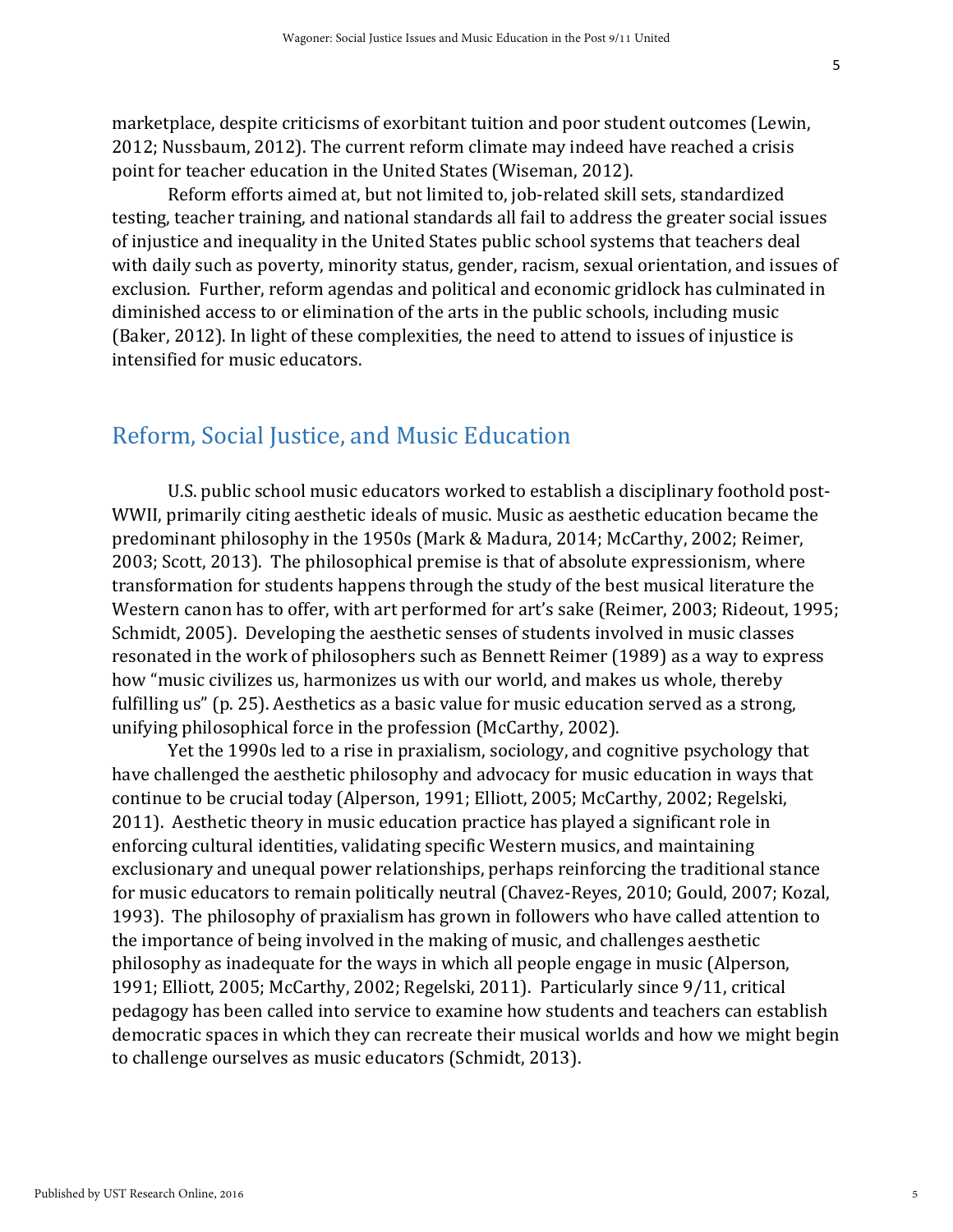marketplace, despite criticisms of exorbitant tuition and poor student outcomes (Lewin, 2012; Nussbaum, 2012). The current reform climate may indeed have reached a crisis point for teacher education in the United States (Wiseman, 2012).

Reform efforts aimed at, but not limited to, job-related skill sets, standardized testing, teacher training, and national standards all fail to address the greater social issues of injustice and inequality in the United States public school systems that teachers deal with daily such as poverty, minority status, gender, racism, sexual orientation, and issues of exclusion. Further, reform agendas and political and economic gridlock has culminated in diminished access to or elimination of the arts in the public schools, including music (Baker, 2012). In light of these complexities, the need to attend to issues of injustice is intensified for music educators.

#### Reform, Social Justice, and Music Education

U.S. public school music educators worked to establish a disciplinary foothold post-WWII, primarily citing aesthetic ideals of music. Music as aesthetic education became the predominant philosophy in the 1950s (Mark & Madura, 2014; McCarthy, 2002; Reimer, 2003; Scott, 2013). The philosophical premise is that of absolute expressionism, where transformation for students happens through the study of the best musical literature the Western canon has to offer, with art performed for art's sake (Reimer, 2003; Rideout, 1995; Schmidt, 2005). Developing the aesthetic senses of students involved in music classes resonated in the work of philosophers such as Bennett Reimer (1989) as a way to express how "music civilizes us, harmonizes us with our world, and makes us whole, thereby fulfilling us" (p. 25). Aesthetics as a basic value for music education served as a strong, unifying philosophical force in the profession (McCarthy, 2002).

Yet the 1990s led to a rise in praxialism, sociology, and cognitive psychology that have challenged the aesthetic philosophy and advocacy for music education in ways that continue to be crucial today (Alperson, 1991; Elliott, 2005; McCarthy, 2002; Regelski, 2011). Aesthetic theory in music education practice has played a significant role in enforcing cultural identities, validating specific Western musics, and maintaining exclusionary and unequal power relationships, perhaps reinforcing the traditional stance for music educators to remain politically neutral (Chavez-Reyes, 2010; Gould, 2007; Kozal, 1993). The philosophy of praxialism has grown in followers who have called attention to the importance of being involved in the making of music, and challenges aesthetic philosophy as inadequate for the ways in which all people engage in music (Alperson, 1991; Elliott, 2005; McCarthy, 2002; Regelski, 2011). Particularly since 9/11, critical pedagogy has been called into service to examine how students and teachers can establish democratic spaces in which they can recreate their musical worlds and how we might begin to challenge ourselves as music educators (Schmidt, 2013).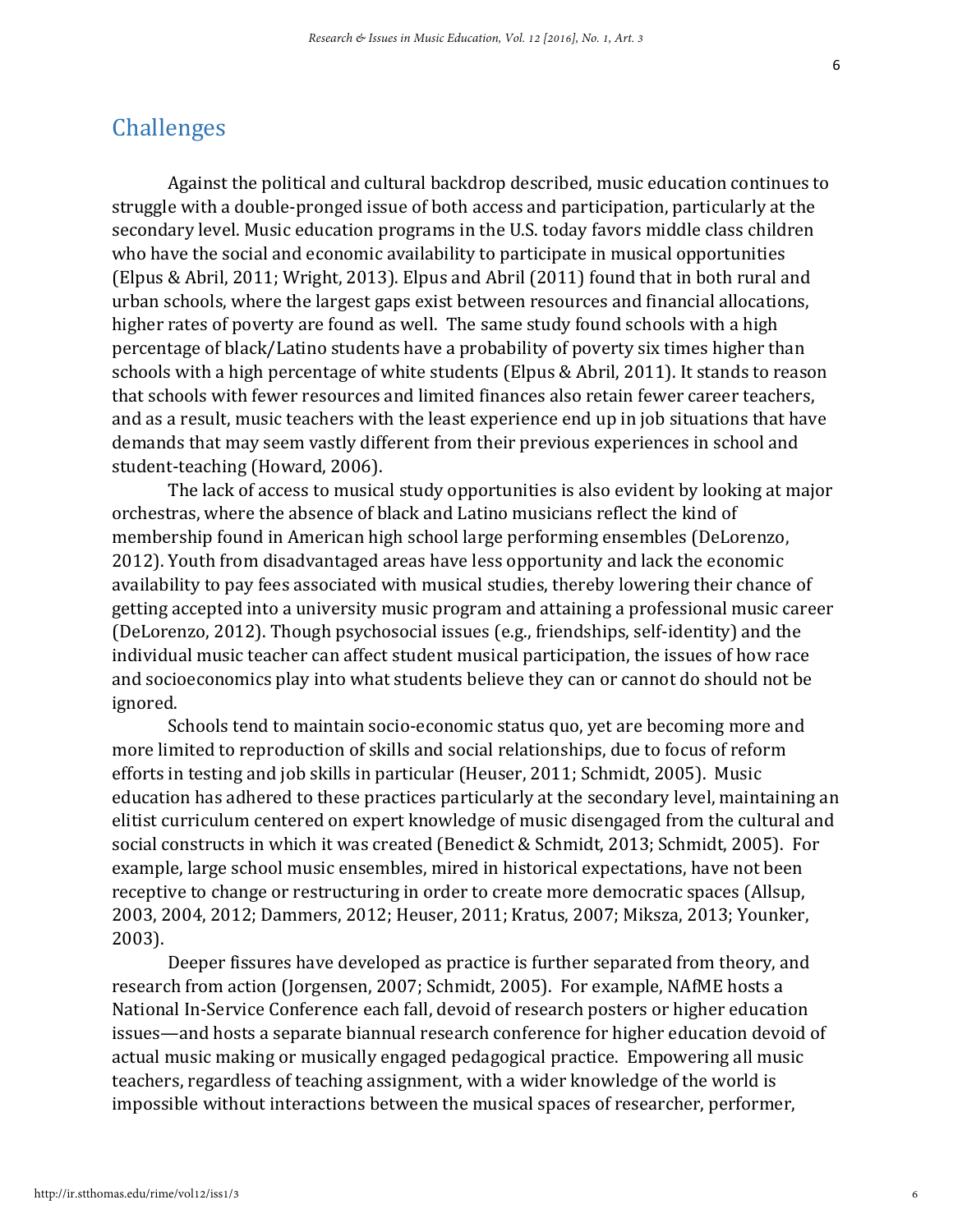#### Challenges

Against the political and cultural backdrop described, music education continues to struggle with a double-pronged issue of both access and participation, particularly at the secondary level. Music education programs in the U.S. today favors middle class children who have the social and economic availability to participate in musical opportunities (Elpus & Abril, 2011; Wright, 2013). Elpus and Abril (2011) found that in both rural and urban schools, where the largest gaps exist between resources and financial allocations, higher rates of poverty are found as well. The same study found schools with a high percentage of black/Latino students have a probability of poverty six times higher than schools with a high percentage of white students (Elpus & Abril, 2011). It stands to reason that schools with fewer resources and limited finances also retain fewer career teachers, and as a result, music teachers with the least experience end up in job situations that have demands that may seem vastly different from their previous experiences in school and student-teaching (Howard, 2006).

The lack of access to musical study opportunities is also evident by looking at major orchestras, where the absence of black and Latino musicians reflect the kind of membership found in American high school large performing ensembles (DeLorenzo, 2012). Youth from disadvantaged areas have less opportunity and lack the economic availability to pay fees associated with musical studies, thereby lowering their chance of getting accepted into a university music program and attaining a professional music career (DeLorenzo, 2012). Though psychosocial issues (e.g., friendships, self-identity) and the individual music teacher can affect student musical participation, the issues of how race and socioeconomics play into what students believe they can or cannot do should not be ignored.

Schools tend to maintain socio-economic status quo, yet are becoming more and more limited to reproduction of skills and social relationships, due to focus of reform efforts in testing and job skills in particular (Heuser, 2011; Schmidt, 2005). Music education has adhered to these practices particularly at the secondary level, maintaining an elitist curriculum centered on expert knowledge of music disengaged from the cultural and social constructs in which it was created (Benedict & Schmidt, 2013; Schmidt, 2005). For example, large school music ensembles, mired in historical expectations, have not been receptive to change or restructuring in order to create more democratic spaces (Allsup, 2003, 2004, 2012; Dammers, 2012; Heuser, 2011; Kratus, 2007; Miksza, 2013; Younker, 2003).

Deeper fissures have developed as practice is further separated from theory, and research from action (Jorgensen, 2007; Schmidt, 2005). For example, NAfME hosts a National In-Service Conference each fall, devoid of research posters or higher education issues—and hosts a separate biannual research conference for higher education devoid of actual music making or musically engaged pedagogical practice. Empowering all music teachers, regardless of teaching assignment, with a wider knowledge of the world is impossible without interactions between the musical spaces of researcher, performer,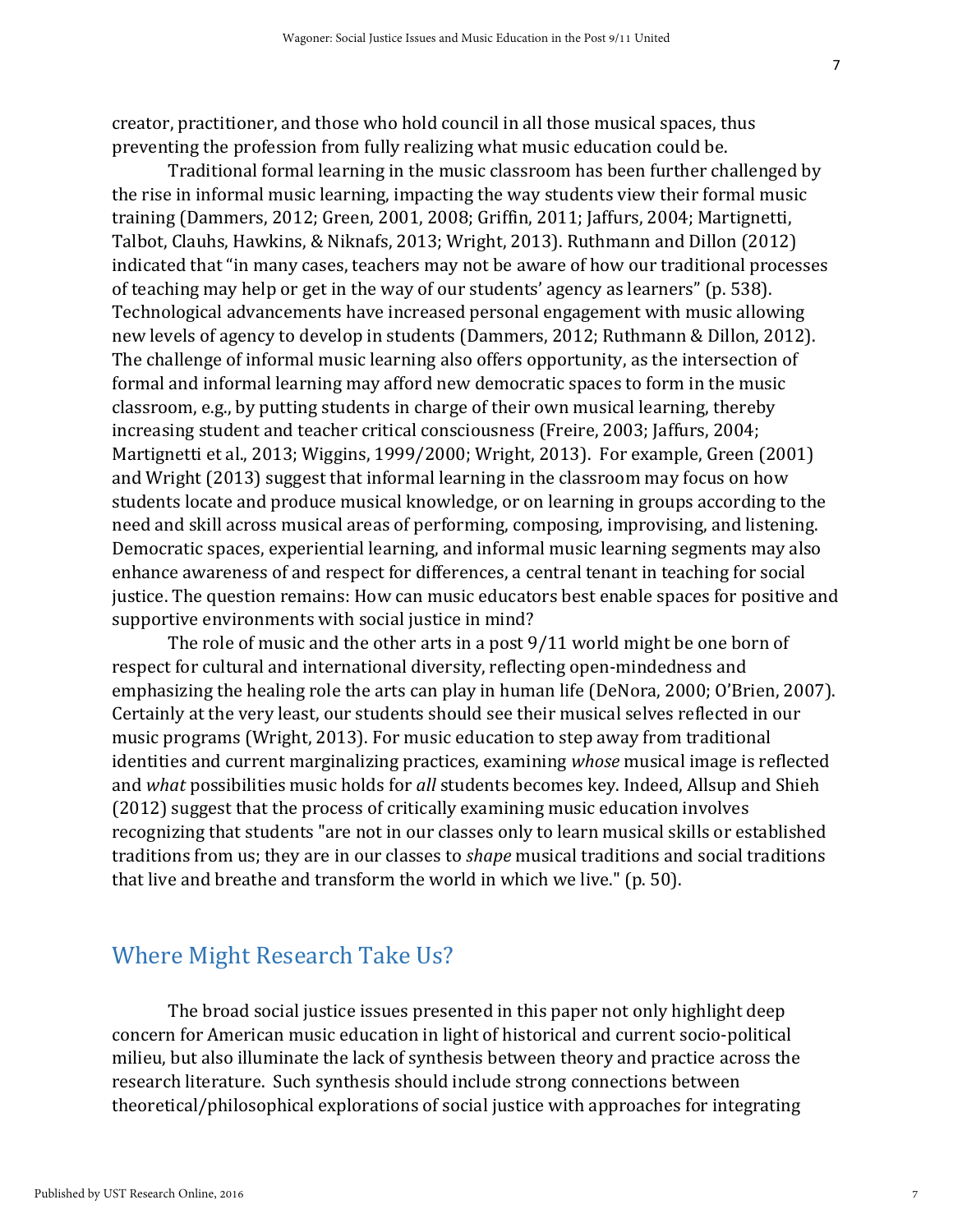creator, practitioner, and those who hold council in all those musical spaces, thus preventing the profession from fully realizing what music education could be.

Traditional formal learning in the music classroom has been further challenged by the rise in informal music learning, impacting the way students view their formal music training (Dammers, 2012; Green, 2001, 2008; Griffin, 2011; Jaffurs, 2004; Martignetti, Talbot, Clauhs, Hawkins, & Niknafs, 2013; Wright, 2013). Ruthmann and Dillon (2012) indicated that "in many cases, teachers may not be aware of how our traditional processes of teaching may help or get in the way of our students' agency as learners" (p. 538). Technological advancements have increased personal engagement with music allowing new levels of agency to develop in students (Dammers, 2012; Ruthmann & Dillon, 2012). The challenge of informal music learning also offers opportunity, as the intersection of formal and informal learning may afford new democratic spaces to form in the music classroom, e.g., by putting students in charge of their own musical learning, thereby increasing student and teacher critical consciousness (Freire, 2003; Jaffurs, 2004; Martignetti et al., 2013; Wiggins, 1999/2000; Wright, 2013). For example, Green (2001) and Wright (2013) suggest that informal learning in the classroom may focus on how students locate and produce musical knowledge, or on learning in groups according to the need and skill across musical areas of performing, composing, improvising, and listening. Democratic spaces, experiential learning, and informal music learning segments may also enhance awareness of and respect for differences, a central tenant in teaching for social justice. The question remains: How can music educators best enable spaces for positive and supportive environments with social justice in mind?

The role of music and the other arts in a post 9/11 world might be one born of respect for cultural and international diversity, reflecting open-mindedness and emphasizing the healing role the arts can play in human life (DeNora, 2000; O'Brien, 2007). Certainly at the very least, our students should see their musical selves reflected in our music programs (Wright, 2013). For music education to step away from traditional identities and current marginalizing practices, examining *whose* musical image is reflected and *what* possibilities music holds for *all* students becomes key. Indeed, Allsup and Shieh (2012) suggest that the process of critically examining music education involves recognizing that students "are not in our classes only to learn musical skills or established traditions from us; they are in our classes to *shape* musical traditions and social traditions that live and breathe and transform the world in which we live." (p. 50).

#### Where Might Research Take Us?

The broad social justice issues presented in this paper not only highlight deep concern for American music education in light of historical and current socio-political milieu, but also illuminate the lack of synthesis between theory and practice across the research literature. Such synthesis should include strong connections between theoretical/philosophical explorations of social justice with approaches for integrating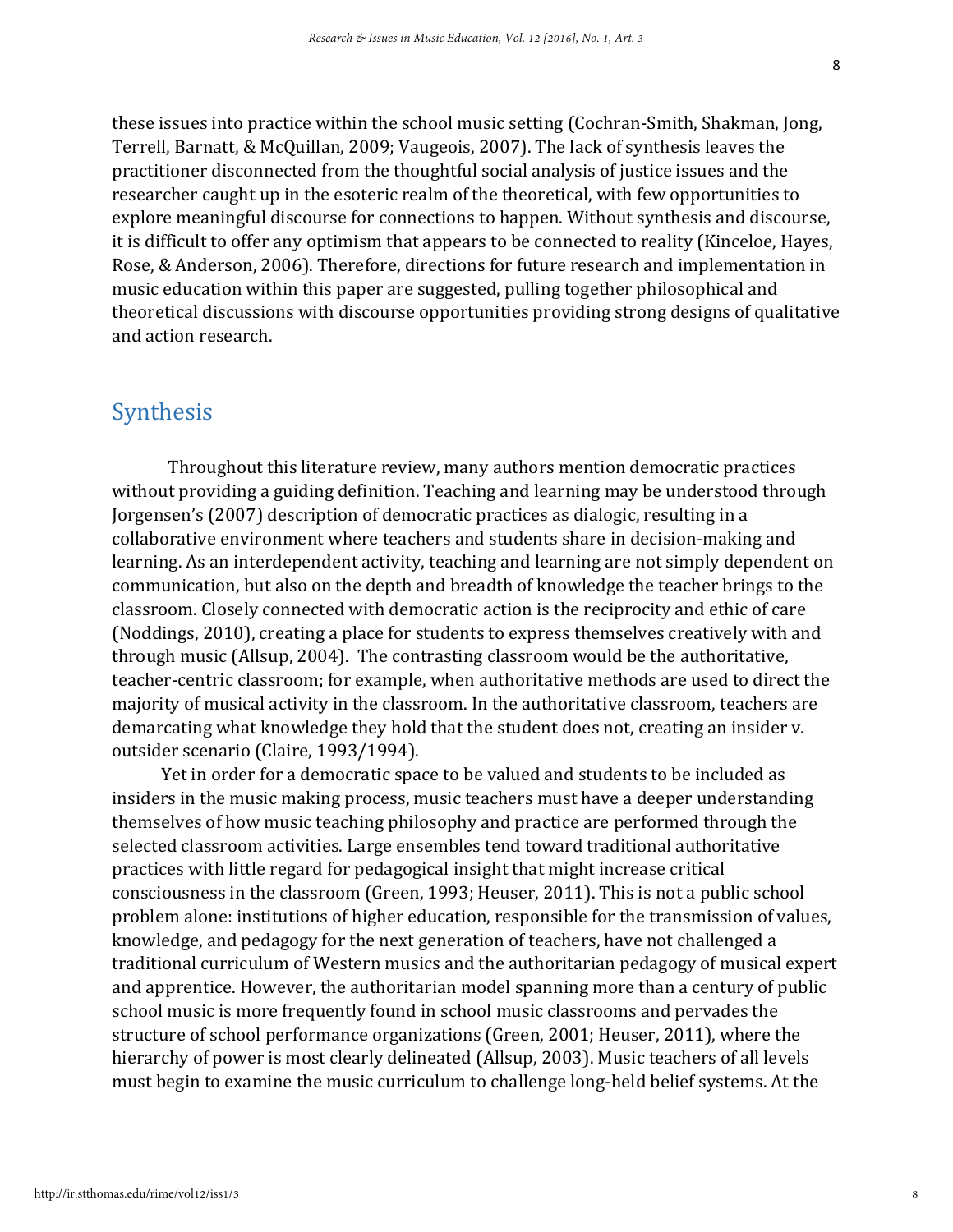these issues into practice within the school music setting (Cochran-Smith, Shakman, Jong, Terrell, Barnatt, & McQuillan, 2009; Vaugeois, 2007). The lack of synthesis leaves the practitioner disconnected from the thoughtful social analysis of justice issues and the researcher caught up in the esoteric realm of the theoretical, with few opportunities to explore meaningful discourse for connections to happen. Without synthesis and discourse, it is difficult to offer any optimism that appears to be connected to reality (Kinceloe, Hayes, Rose, & Anderson, 2006). Therefore, directions for future research and implementation in music education within this paper are suggested, pulling together philosophical and theoretical discussions with discourse opportunities providing strong designs of qualitative and action research.

### Synthesis

Throughout this literature review, many authors mention democratic practices without providing a guiding definition. Teaching and learning may be understood through Jorgensen's (2007) description of democratic practices as dialogic, resulting in a collaborative environment where teachers and students share in decision-making and learning. As an interdependent activity, teaching and learning are not simply dependent on communication, but also on the depth and breadth of knowledge the teacher brings to the classroom. Closely connected with democratic action is the reciprocity and ethic of care (Noddings, 2010), creating a place for students to express themselves creatively with and through music (Allsup, 2004). The contrasting classroom would be the authoritative, teacher-centric classroom; for example, when authoritative methods are used to direct the majority of musical activity in the classroom. In the authoritative classroom, teachers are demarcating what knowledge they hold that the student does not, creating an insider v. outsider scenario (Claire, 1993/1994).

Yet in order for a democratic space to be valued and students to be included as insiders in the music making process, music teachers must have a deeper understanding themselves of how music teaching philosophy and practice are performed through the selected classroom activities. Large ensembles tend toward traditional authoritative practices with little regard for pedagogical insight that might increase critical consciousness in the classroom (Green, 1993; Heuser, 2011). This is not a public school problem alone: institutions of higher education, responsible for the transmission of values, knowledge, and pedagogy for the next generation of teachers, have not challenged a traditional curriculum of Western musics and the authoritarian pedagogy of musical expert and apprentice. However, the authoritarian model spanning more than a century of public school music is more frequently found in school music classrooms and pervades the structure of school performance organizations (Green, 2001; Heuser, 2011), where the hierarchy of power is most clearly delineated (Allsup, 2003). Music teachers of all levels must begin to examine the music curriculum to challenge long-held belief systems. At the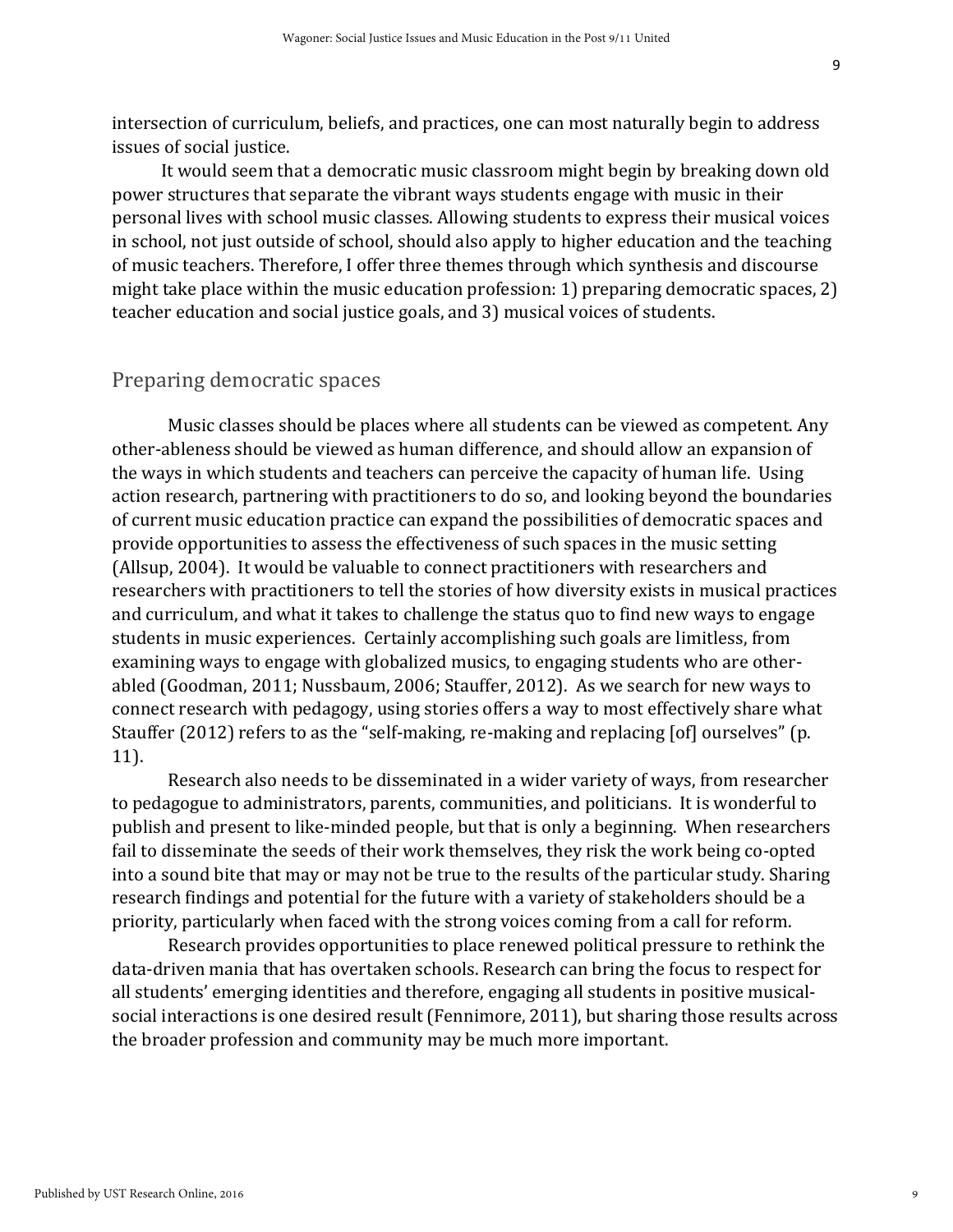intersection of curriculum, beliefs, and practices, one can most naturally begin to address issues of social justice.

It would seem that a democratic music classroom might begin by breaking down old power structures that separate the vibrant ways students engage with music in their personal lives with school music classes. Allowing students to express their musical voices in school, not just outside of school, should also apply to higher education and the teaching of music teachers. Therefore, I offer three themes through which synthesis and discourse might take place within the music education profession: 1) preparing democratic spaces, 2) teacher education and social justice goals, and 3) musical voices of students.

#### Preparing democratic spaces

Music classes should be places where all students can be viewed as competent. Any other-ableness should be viewed as human difference, and should allow an expansion of the ways in which students and teachers can perceive the capacity of human life. Using action research, partnering with practitioners to do so, and looking beyond the boundaries of current music education practice can expand the possibilities of democratic spaces and provide opportunities to assess the effectiveness of such spaces in the music setting (Allsup, 2004). It would be valuable to connect practitioners with researchers and researchers with practitioners to tell the stories of how diversity exists in musical practices and curriculum, and what it takes to challenge the status quo to find new ways to engage students in music experiences. Certainly accomplishing such goals are limitless, from examining ways to engage with globalized musics, to engaging students who are otherabled (Goodman, 2011; Nussbaum, 2006; Stauffer, 2012). As we search for new ways to connect research with pedagogy, using stories offers a way to most effectively share what Stauffer (2012) refers to as the "self-making, re-making and replacing [of] ourselves" (p. 11).

Research also needs to be disseminated in a wider variety of ways, from researcher to pedagogue to administrators, parents, communities, and politicians. It is wonderful to publish and present to like-minded people, but that is only a beginning. When researchers fail to disseminate the seeds of their work themselves, they risk the work being co-opted into a sound bite that may or may not be true to the results of the particular study. Sharing research findings and potential for the future with a variety of stakeholders should be a priority, particularly when faced with the strong voices coming from a call for reform.

Research provides opportunities to place renewed political pressure to rethink the data-driven mania that has overtaken schools. Research can bring the focus to respect for all students' emerging identities and therefore, engaging all students in positive musicalsocial interactions is one desired result (Fennimore, 2011), but sharing those results across the broader profession and community may be much more important.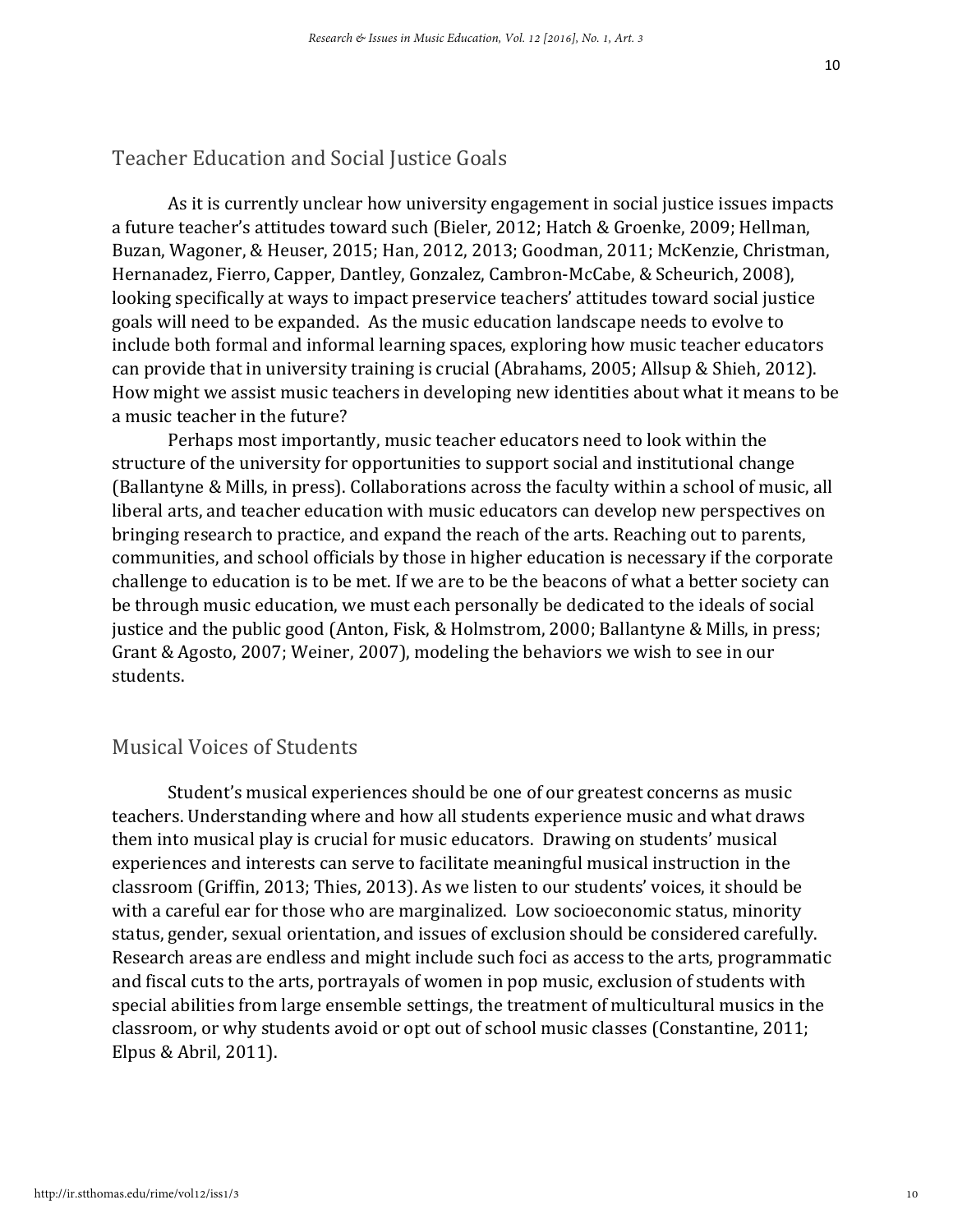#### Teacher Education and Social Justice Goals

As it is currently unclear how university engagement in social justice issues impacts a future teacher's attitudes toward such (Bieler, 2012; Hatch & Groenke, 2009; Hellman, Buzan, Wagoner, & Heuser, 2015; Han, 2012, 2013; Goodman, 2011; McKenzie, Christman, Hernanadez, Fierro, Capper, Dantley, Gonzalez, Cambron-McCabe, & Scheurich, 2008), looking specifically at ways to impact preservice teachers' attitudes toward social justice goals will need to be expanded. As the music education landscape needs to evolve to include both formal and informal learning spaces, exploring how music teacher educators can provide that in university training is crucial (Abrahams, 2005; Allsup & Shieh, 2012). How might we assist music teachers in developing new identities about what it means to be a music teacher in the future?

Perhaps most importantly, music teacher educators need to look within the structure of the university for opportunities to support social and institutional change (Ballantyne & Mills, in press). Collaborations across the faculty within a school of music, all liberal arts, and teacher education with music educators can develop new perspectives on bringing research to practice, and expand the reach of the arts. Reaching out to parents, communities, and school officials by those in higher education is necessary if the corporate challenge to education is to be met. If we are to be the beacons of what a better society can be through music education, we must each personally be dedicated to the ideals of social justice and the public good (Anton, Fisk, & Holmstrom, 2000; Ballantyne & Mills, in press; Grant & Agosto, 2007; Weiner, 2007), modeling the behaviors we wish to see in our students.

#### Musical Voices of Students

Student's musical experiences should be one of our greatest concerns as music teachers. Understanding where and how all students experience music and what draws them into musical play is crucial for music educators. Drawing on students' musical experiences and interests can serve to facilitate meaningful musical instruction in the classroom (Griffin, 2013; Thies, 2013). As we listen to our students' voices, it should be with a careful ear for those who are marginalized. Low socioeconomic status, minority status, gender, sexual orientation, and issues of exclusion should be considered carefully. Research areas are endless and might include such foci as access to the arts, programmatic and fiscal cuts to the arts, portrayals of women in pop music, exclusion of students with special abilities from large ensemble settings, the treatment of multicultural musics in the classroom, or why students avoid or opt out of school music classes (Constantine, 2011; Elpus & Abril, 2011).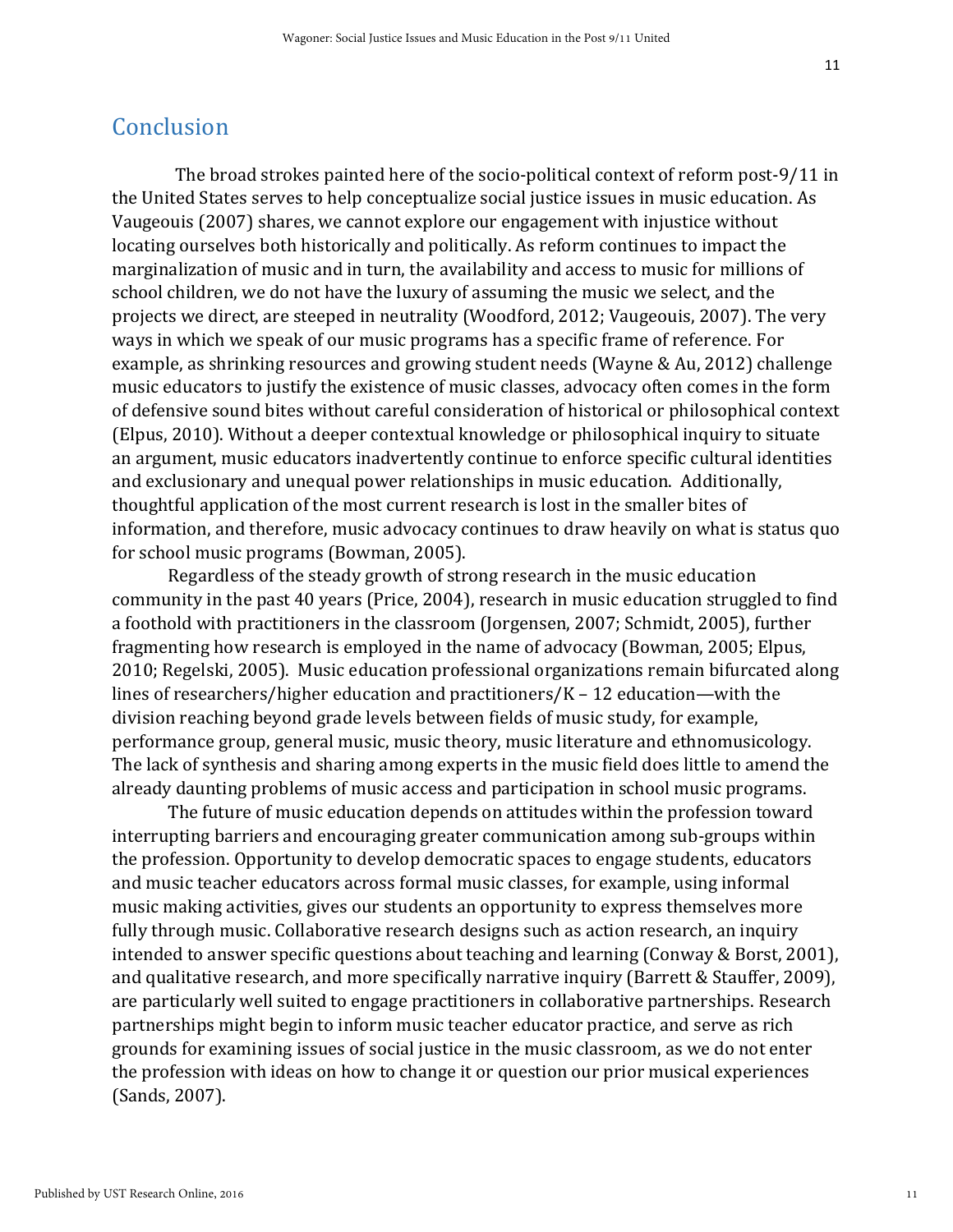#### Conclusion

The broad strokes painted here of the socio-political context of reform post-9/11 in the United States serves to help conceptualize social justice issues in music education. As Vaugeouis (2007) shares, we cannot explore our engagement with injustice without locating ourselves both historically and politically. As reform continues to impact the marginalization of music and in turn, the availability and access to music for millions of school children, we do not have the luxury of assuming the music we select, and the projects we direct, are steeped in neutrality (Woodford, 2012; Vaugeouis, 2007). The very ways in which we speak of our music programs has a specific frame of reference. For example, as shrinking resources and growing student needs (Wayne & Au, 2012) challenge music educators to justify the existence of music classes, advocacy often comes in the form of defensive sound bites without careful consideration of historical or philosophical context (Elpus, 2010). Without a deeper contextual knowledge or philosophical inquiry to situate an argument, music educators inadvertently continue to enforce specific cultural identities and exclusionary and unequal power relationships in music education. Additionally, thoughtful application of the most current research is lost in the smaller bites of information, and therefore, music advocacy continues to draw heavily on what is status quo for school music programs (Bowman, 2005).

Regardless of the steady growth of strong research in the music education community in the past 40 years (Price, 2004), research in music education struggled to find a foothold with practitioners in the classroom (Jorgensen, 2007; Schmidt, 2005), further fragmenting how research is employed in the name of advocacy (Bowman, 2005; Elpus, 2010; Regelski, 2005). Music education professional organizations remain bifurcated along lines of researchers/higher education and practitioners/K – 12 education—with the division reaching beyond grade levels between fields of music study, for example, performance group, general music, music theory, music literature and ethnomusicology. The lack of synthesis and sharing among experts in the music field does little to amend the already daunting problems of music access and participation in school music programs.

The future of music education depends on attitudes within the profession toward interrupting barriers and encouraging greater communication among sub-groups within the profession. Opportunity to develop democratic spaces to engage students, educators and music teacher educators across formal music classes, for example, using informal music making activities, gives our students an opportunity to express themselves more fully through music. Collaborative research designs such as action research, an inquiry intended to answer specific questions about teaching and learning (Conway & Borst, 2001), and qualitative research, and more specifically narrative inquiry (Barrett & Stauffer, 2009), are particularly well suited to engage practitioners in collaborative partnerships. Research partnerships might begin to inform music teacher educator practice, and serve as rich grounds for examining issues of social justice in the music classroom, as we do not enter the profession with ideas on how to change it or question our prior musical experiences (Sands, 2007).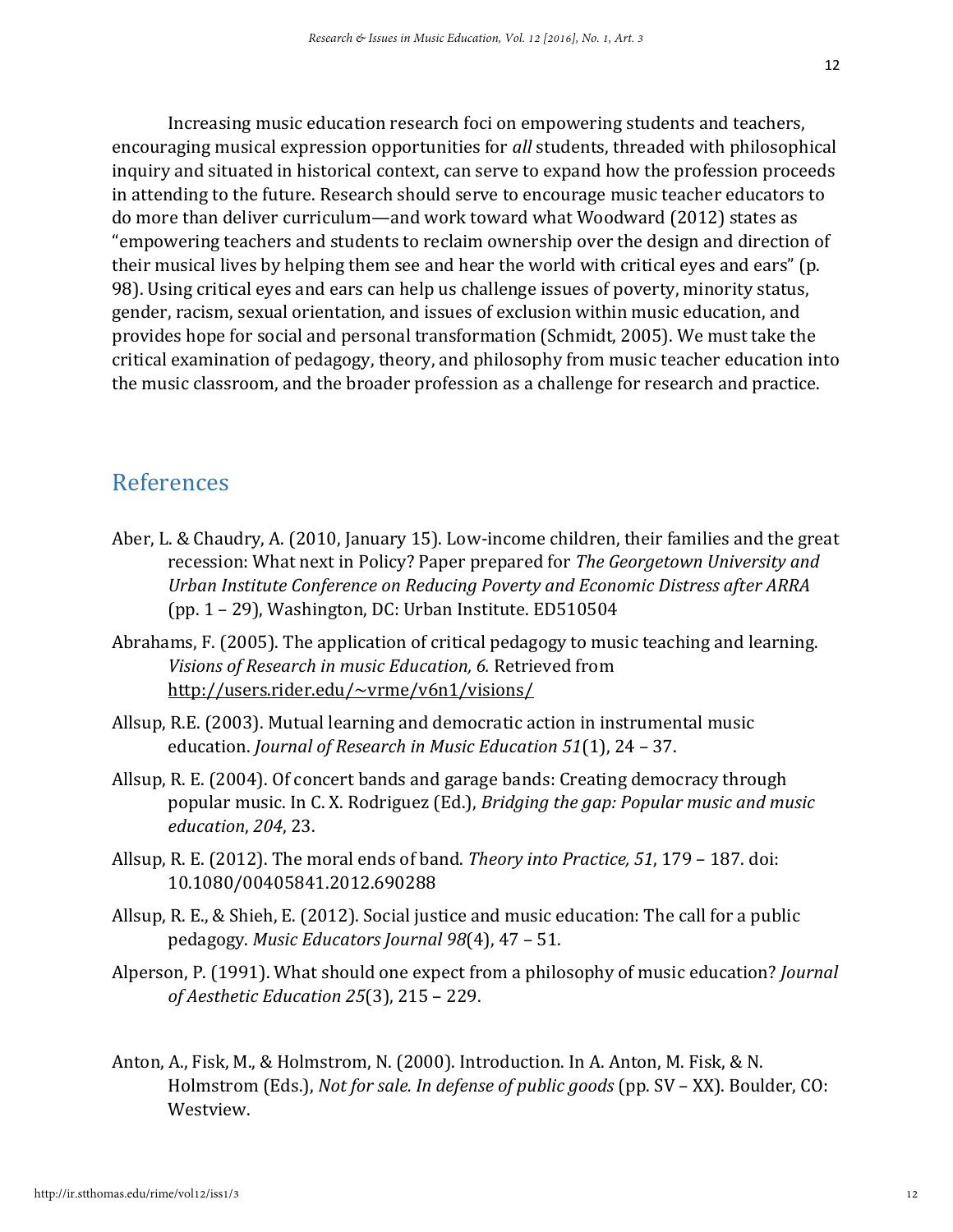Increasing music education research foci on empowering students and teachers, encouraging musical expression opportunities for *all* students, threaded with philosophical inquiry and situated in historical context, can serve to expand how the profession proceeds in attending to the future. Research should serve to encourage music teacher educators to do more than deliver curriculum—and work toward what Woodward (2012) states as "empowering teachers and students to reclaim ownership over the design and direction of their musical lives by helping them see and hear the world with critical eyes and ears" (p. 98). Using critical eyes and ears can help us challenge issues of poverty, minority status, gender, racism, sexual orientation, and issues of exclusion within music education, and provides hope for social and personal transformation (Schmidt, 2005). We must take the critical examination of pedagogy, theory, and philosophy from music teacher education into the music classroom, and the broader profession as a challenge for research and practice.

## References

- Aber, L. & Chaudry, A. (2010, January 15). Low-income children, their families and the great recession: What next in Policy? Paper prepared for *The Georgetown University and Urban Institute Conference on Reducing Poverty and Economic Distress after ARRA* (pp. 1 – 29), Washington, DC: Urban Institute. ED510504
- Abrahams, F. (2005). The application of critical pedagogy to music teaching and learning. *Visions of Research in music Education, 6.* Retrieved from <http://users.rider.edu/~vrme/v6n1/visions/>
- Allsup, R.E. (2003). Mutual learning and democratic action in instrumental music education. *Journal of Research in Music Education 51*(1), 24 – 37.
- Allsup, R. E. (2004). Of concert bands and garage bands: Creating democracy through popular music. In C. X. Rodriguez (Ed.), *Bridging the gap: Popular music and music education*, *204*, 23.
- Allsup, R. E. (2012). The moral ends of band. *Theory into Practice, 51*, 179 187. doi: 10.1080/00405841.2012.690288
- Allsup, R. E., & Shieh, E. (2012). Social justice and music education: The call for a public pedagogy. *Music Educators Journal 98*(4), 47 – 51.
- Alperson, P. (1991). What should one expect from a philosophy of music education? *Journal of Aesthetic Education 25*(3), 215 – 229.
- Anton, A., Fisk, M., & Holmstrom, N. (2000). Introduction. In A. Anton, M. Fisk, & N. Holmstrom (Eds.), *Not for sale. In defense of public goods* (pp. SV – XX). Boulder, CO: Westview.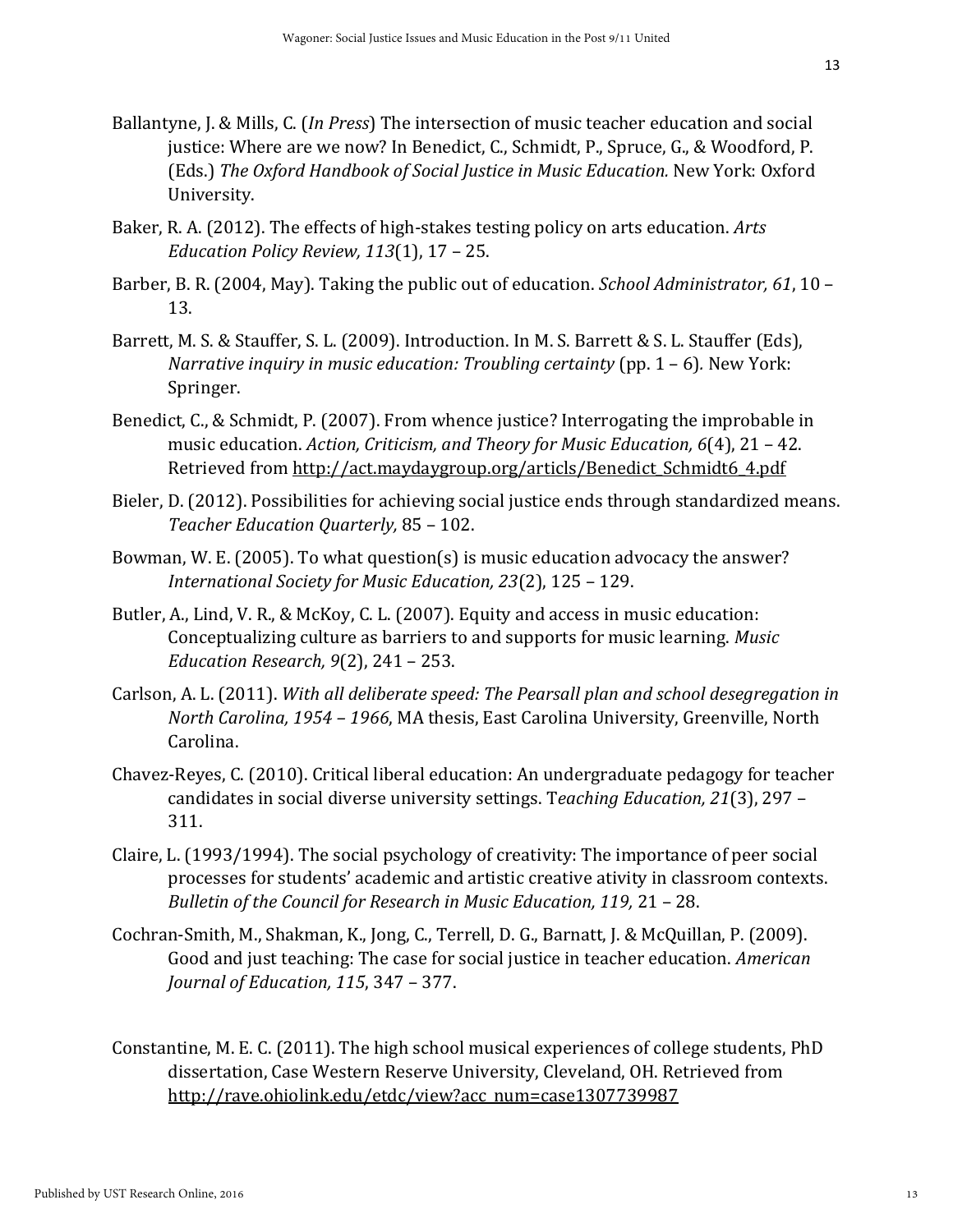- Ballantyne, J. & Mills, C. (*In Press*) The intersection of music teacher education and social justice: Where are we now? In Benedict, C., Schmidt, P., Spruce, G., & Woodford, P. (Eds.) *The Oxford Handbook of Social Justice in Music Education.* New York: Oxford University.
- Baker, R. A. (2012). The effects of high-stakes testing policy on arts education. *Arts Education Policy Review, 113*(1), 17 – 25.
- Barber, B. R. (2004, May). Taking the public out of education. *School Administrator, 61*, 10 13.
- Barrett, M. S. & Stauffer, S. L. (2009). Introduction. In M. S. Barrett & S. L. Stauffer (Eds), *Narrative inquiry in music education: Troubling certainty (pp. 1 – 6). New York:* Springer.
- Benedict, C., & Schmidt, P. (2007). From whence justice? Interrogating the improbable in music education. *Action, Criticism, and Theory for Music Education, 6*(4), 21 – 42. Retrieved from [http://act.maydaygroup.org/articls/Benedict\\_Schmidt6\\_4.pdf](http://act.maydaygroup.org/articls/Benedict_Schmidt6_4.pdf)
- Bieler, D. (2012). Possibilities for achieving social justice ends through standardized means. *Teacher Education Quarterly,* 85 – 102.
- Bowman, W. E. (2005). To what question(s) is music education advocacy the answer? *International Society for Music Education, 23*(2), 125 – 129.
- Butler, A., Lind, V. R., & McKoy, C. L. (2007). Equity and access in music education: Conceptualizing culture as barriers to and supports for music learning. *Music Education Research, 9*(2), 241 – 253.
- Carlson, A. L. (2011). *With all deliberate speed: The Pearsall plan and school desegregation in North Carolina, 1954 – 1966*, MA thesis, East Carolina University, Greenville, North Carolina.
- Chavez-Reyes, C. (2010). Critical liberal education: An undergraduate pedagogy for teacher candidates in social diverse university settings. T*eaching Education, 21*(3), 297 – 311.
- Claire, L. (1993/1994). The social psychology of creativity: The importance of peer social processes for students' academic and artistic creative ativity in classroom contexts. *Bulletin of the Council for Research in Music Education, 119,* 21 – 28.
- Cochran-Smith, M., Shakman, K., Jong, C., Terrell, D. G., Barnatt, J. & McQuillan, P. (2009). Good and just teaching: The case for social justice in teacher education. *American Journal of Education, 115*, 347 – 377.
- Constantine, M. E. C. (2011). The high school musical experiences of college students, PhD dissertation, Case Western Reserve University, Cleveland, OH. Retrieved from [http://rave.ohiolink.edu/etdc/view?acc\\_num=case1307739987](http://rave.ohiolink.edu/etdc/view?acc_num=case1307739987)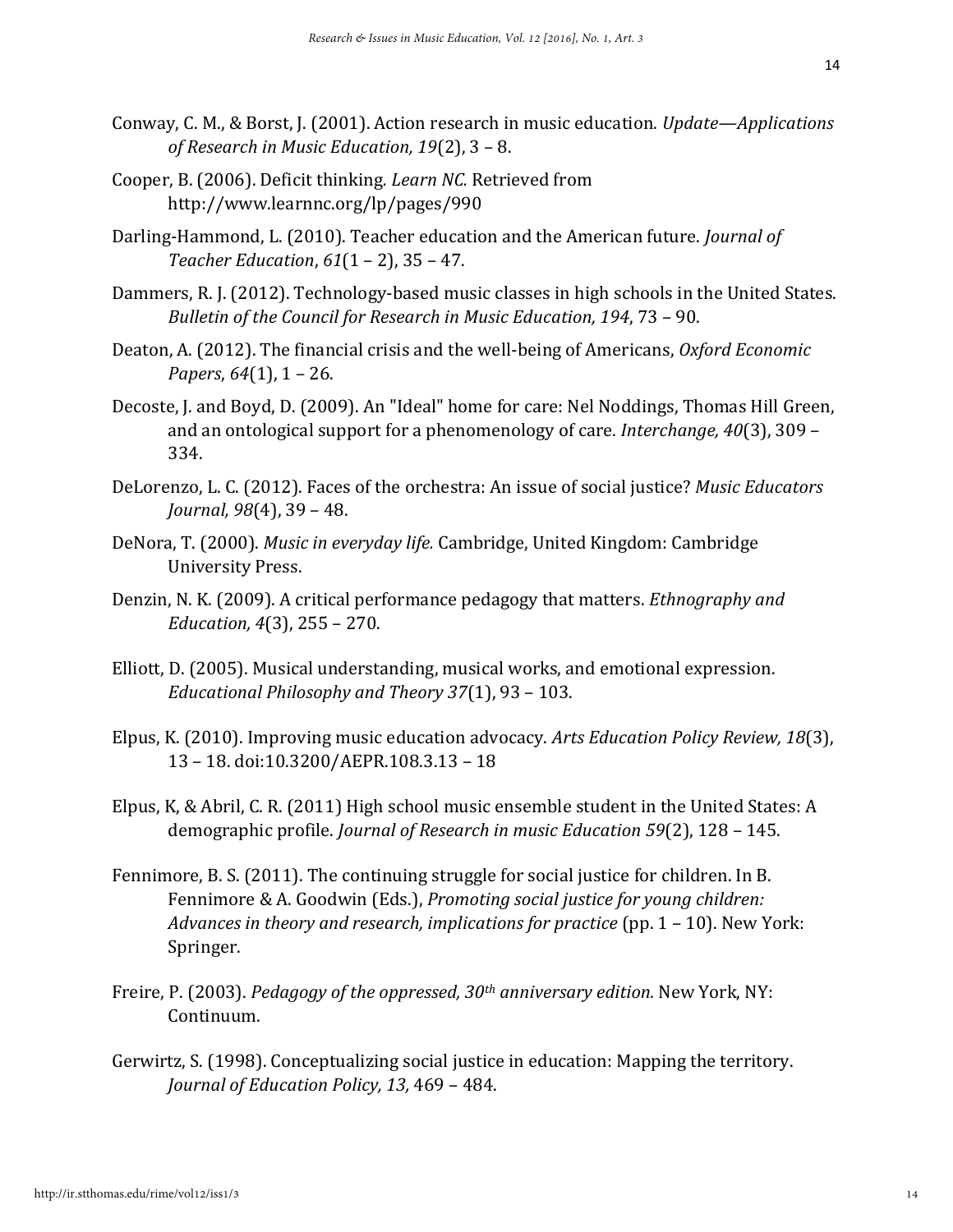- Conway, C. M., & Borst, J. (2001). Action research in music education. *Update—Applications of Research in Music Education, 19*(2), 3 – 8.
- Cooper, B. (2006). Deficit thinking*. Learn NC.* Retrieved from http://www.learnnc.org/lp/pages/990
- Darling-Hammond, L. (2010). Teacher education and the American future. *Journal of Teacher Education*, *61*(1 – 2), 35 – 47.
- Dammers, R. J. (2012). Technology-based music classes in high schools in the United States. *Bulletin of the Council for Research in Music Education, 194*, 73 – 90.
- Deaton, A. (2012). The financial crisis and the well-being of Americans, *Oxford Economic Papers*, *64*(1), 1 – 26.
- Decoste, J. and Boyd, D. (2009). An "Ideal" home for care: Nel Noddings, Thomas Hill Green, and an ontological support for a phenomenology of care. *Interchange, 40*(3), 309 – 334.
- DeLorenzo, L. C. (2012). Faces of the orchestra: An issue of social justice? *Music Educators Journal, 98*(4), 39 – 48.
- DeNora, T. (2000). *Music in everyday life.* Cambridge, United Kingdom: Cambridge University Press.
- Denzin, N. K. (2009). A critical performance pedagogy that matters. *Ethnography and Education, 4*(3), 255 – 270.
- Elliott, D. (2005). Musical understanding, musical works, and emotional expression. *Educational Philosophy and Theory 37*(1), 93 – 103.
- Elpus, K. (2010). Improving music education advocacy. *Arts Education Policy Review, 18*(3), 13 – 18. doi:10.3200/AEPR.108.3.13 – 18
- Elpus, K, & Abril, C. R. (2011) High school music ensemble student in the United States: A demographic profile. *Journal of Research in music Education 59*(2), 128 – 145.
- Fennimore, B. S. (2011). The continuing struggle for social justice for children. In B. Fennimore & A. Goodwin (Eds.), *Promoting social justice for young children: Advances in theory and research, implications for practice* (pp. 1 – 10). New York: Springer.
- Freire, P. (2003). *Pedagogy of the oppressed, 30th anniversary edition.* New York, NY: Continuum.
- Gerwirtz, S. (1998). Conceptualizing social justice in education: Mapping the territory. *Journal of Education Policy, 13,* 469 – 484.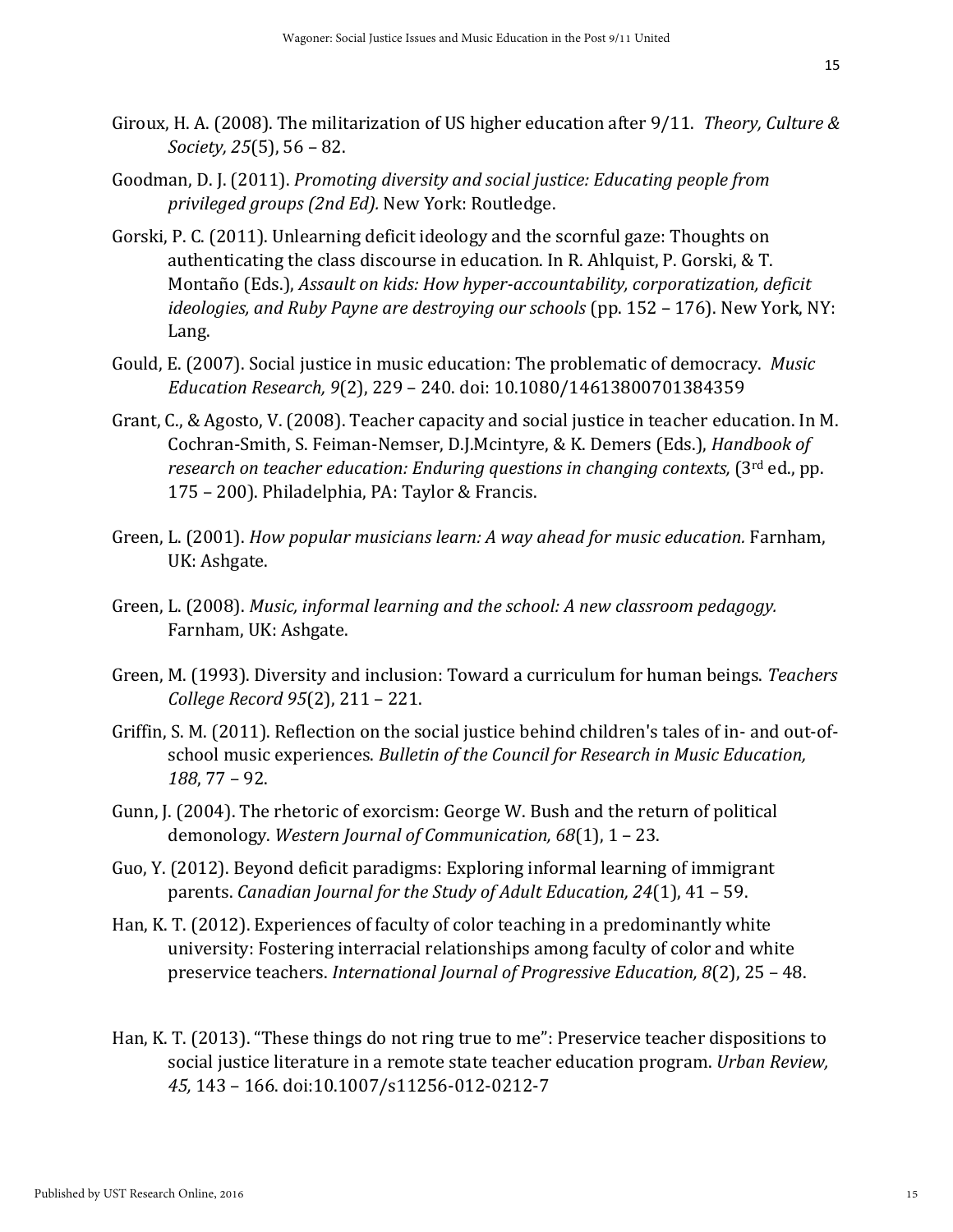- Giroux, H. A. (2008). The militarization of US higher education after 9/11. *Theory, Culture & Society, 25*(5), 56 – 82.
- Goodman, D. J. (2011). *Promoting diversity and social justice: Educating people from privileged groups (2nd Ed).* New York: Routledge.
- Gorski, P. C. (2011). Unlearning deficit ideology and the scornful gaze: Thoughts on authenticating the class discourse in education. In R. Ahlquist, P. Gorski, & T. Montaño (Eds.), *Assault on kids: How hyper-accountability, corporatization, deficit ideologies, and Ruby Payne are destroying our schools* (pp. 152 – 176). New York, NY: Lang.
- Gould, E. (2007). Social justice in music education: The problematic of democracy. *Music Education Research, 9*(2), 229 – 240. doi: 10.1080/14613800701384359
- Grant, C., & Agosto, V. (2008). Teacher capacity and social justice in teacher education. In M. Cochran-Smith, S. Feiman-Nemser, D.J.Mcintyre, & K. Demers (Eds.), *Handbook of research on teacher education: Enduring questions in changing contexts,* (3rd ed., pp. 175 – 200). Philadelphia, PA: Taylor & Francis.
- Green, L. (2001). *How popular musicians learn: A way ahead for music education.* Farnham, UK: Ashgate.
- Green, L. (2008). *Music, informal learning and the school: A new classroom pedagogy.*  Farnham, UK: Ashgate.
- Green, M. (1993). Diversity and inclusion: Toward a curriculum for human beings. *Teachers College Record 95*(2), 211 – 221.
- Griffin, S. M. (2011). Reflection on the social justice behind children's tales of in- and out-ofschool music experiences. *Bulletin of the Council for Research in Music Education, 188*, 77 – 92.
- Gunn, J. (2004). The rhetoric of exorcism: George W. Bush and the return of political demonology. *Western Journal of Communication, 68*(1), 1 – 23.
- Guo, Y. (2012). Beyond deficit paradigms: Exploring informal learning of immigrant parents. *Canadian Journal for the Study of Adult Education, 24*(1), 41 – 59.
- Han, K. T. (2012). Experiences of faculty of color teaching in a predominantly white university: Fostering interracial relationships among faculty of color and white preservice teachers. *International Journal of Progressive Education, 8*(2), 25 – 48.
- Han, K. T. (2013). "These things do not ring true to me": Preservice teacher dispositions to social justice literature in a remote state teacher education program. *Urban Review, 45,* 143 – 166. doi:10.1007/s11256-012-0212-7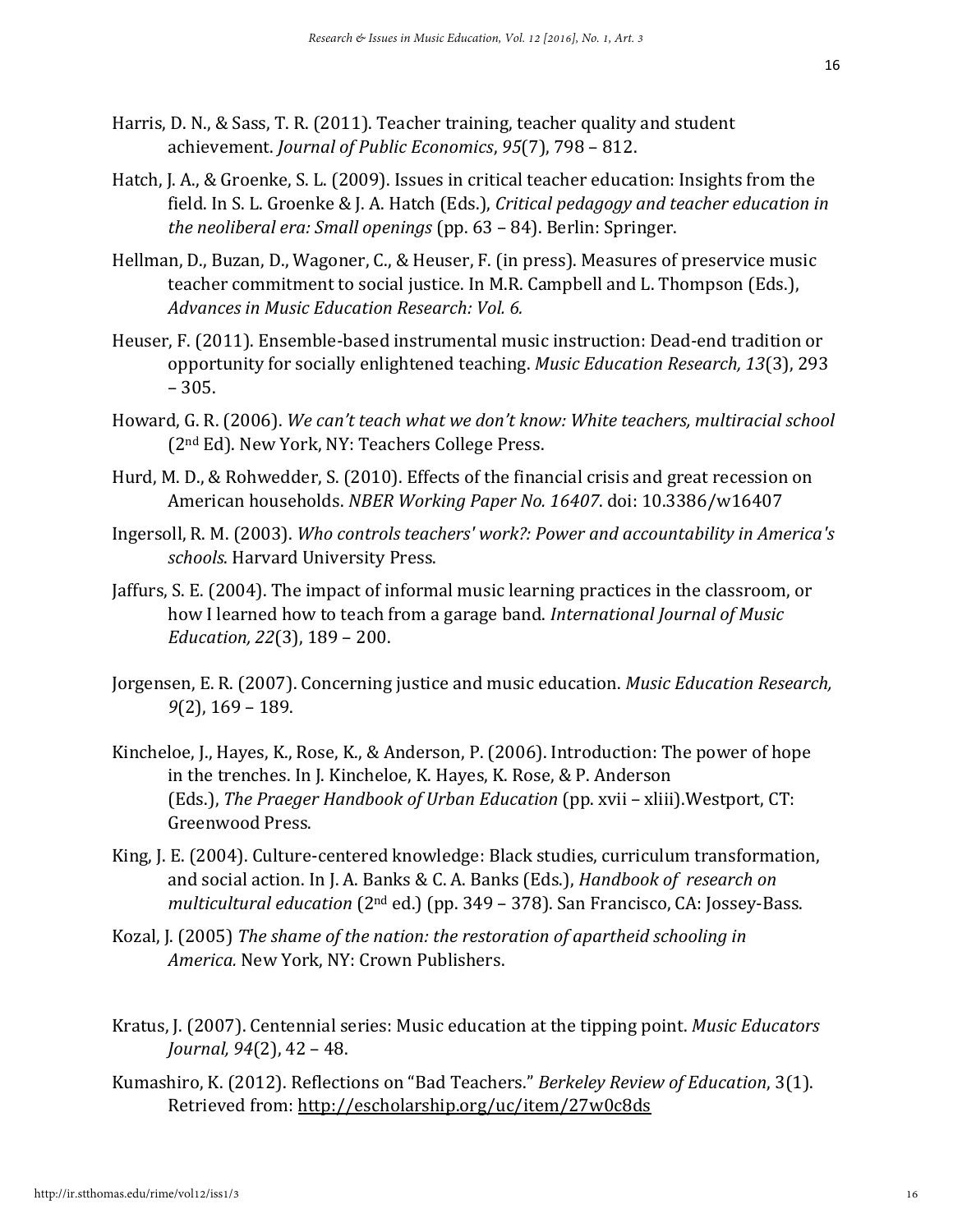- Harris, D. N., & Sass, T. R. (2011). Teacher training, teacher quality and student achievement. *Journal of Public Economics*, *95*(7), 798 – 812.
- Hatch, J. A., & Groenke, S. L. (2009). Issues in critical teacher education: Insights from the field. In S. L. Groenke & J. A. Hatch (Eds.), *Critical pedagogy and teacher education in the neoliberal era: Small openings* (pp. 63 – 84). Berlin: Springer.
- Hellman, D., Buzan, D., Wagoner, C., & Heuser, F. (in press). Measures of preservice music teacher commitment to social justice. In M.R. Campbell and L. Thompson (Eds.), *Advances in Music Education Research: Vol. 6.*
- Heuser, F. (2011). Ensemble-based instrumental music instruction: Dead-end tradition or opportunity for socially enlightened teaching. *Music Education Research, 13*(3), 293 – 305.
- Howard, G. R. (2006). *We can't teach what we don't know: White teachers, multiracial school*  (2nd Ed). New York, NY: Teachers College Press.
- Hurd, M. D., & Rohwedder, S. (2010). Effects of the financial crisis and great recession on American households. *NBER Working Paper No. 16407*. doi: 10.3386/w16407
- Ingersoll, R. M. (2003). *Who controls teachers' work?: Power and accountability in America's schools*. Harvard University Press.
- Jaffurs, S. E. (2004). The impact of informal music learning practices in the classroom, or how I learned how to teach from a garage band. *International Journal of Music Education, 22*(3), 189 – 200.
- Jorgensen, E. R. (2007). Concerning justice and music education. *Music Education Research, 9*(2), 169 – 189.
- Kincheloe, J., Hayes, K., Rose, K., & Anderson, P. (2006). Introduction: The power of hope in the trenches. In J. Kincheloe, K. Hayes, K. Rose, & P. Anderson (Eds.), *The Praeger Handbook of Urban Education* (pp. xvii – xliii).Westport, CT: Greenwood Press.
- King, J. E. (2004). Culture-centered knowledge: Black studies, curriculum transformation, and social action. In J. A. Banks & C. A. Banks (Eds.), *Handbook of research on multicultural education* (2nd ed.) (pp. 349 – 378). San Francisco, CA: Jossey-Bass.
- Kozal, J. (2005) *The shame of the nation: the restoration of apartheid schooling in America.* New York, NY: Crown Publishers.
- Kratus, J. (2007). Centennial series: Music education at the tipping point. *Music Educators Journal, 94*(2), 42 – 48.
- Kumashiro, K. (2012). Reflections on "Bad Teachers." *Berkeley Review of Education*, 3(1). Retrieved from:<http://escholarship.org/uc/item/27w0c8ds>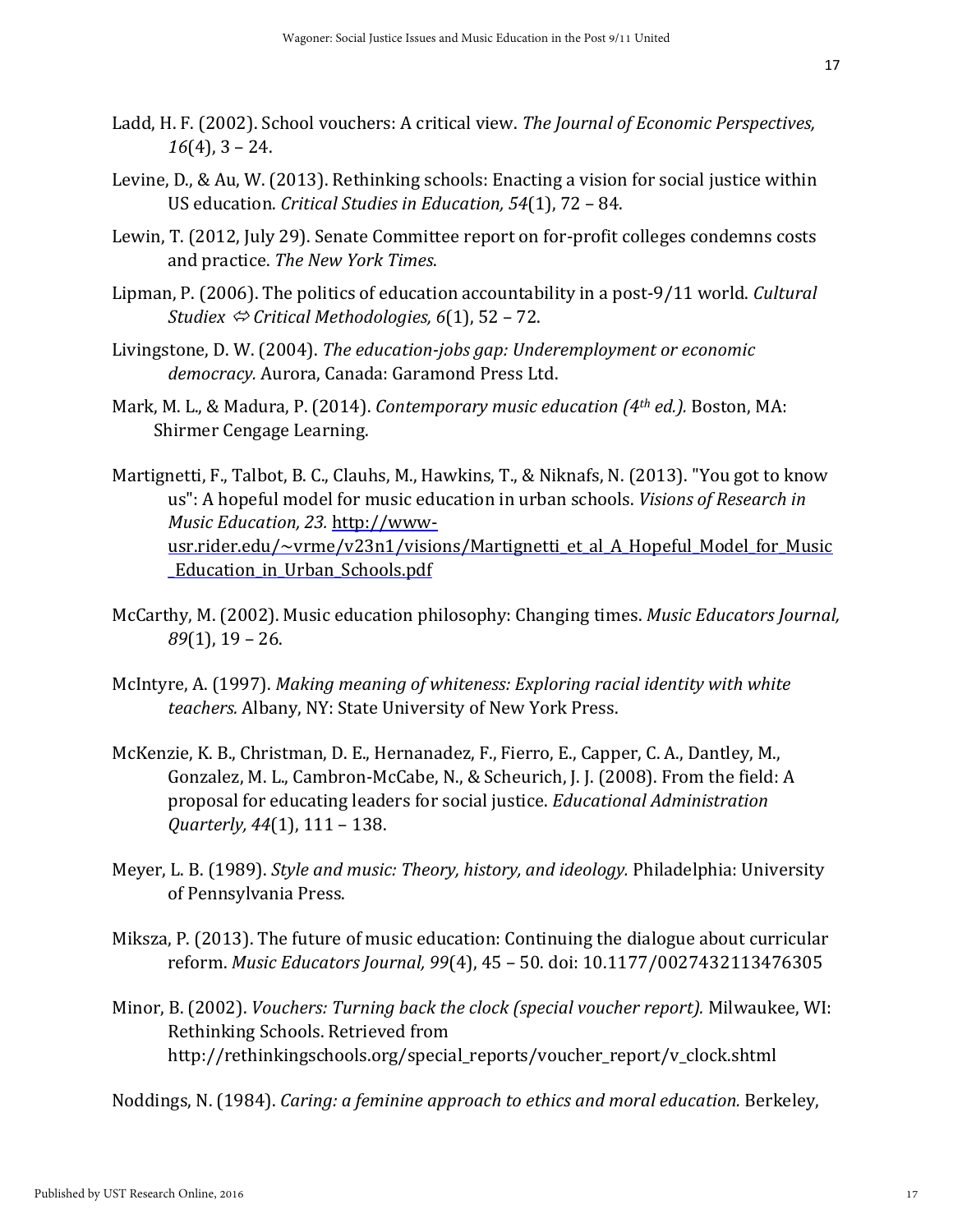- Ladd, H. F. (2002). School vouchers: A critical view. *The Journal of Economic Perspectives, 16*(4), 3 – 24.
- Levine, D., & Au, W. (2013). Rethinking schools: Enacting a vision for social justice within US education. *Critical Studies in Education, 54*(1), 72 – 84.
- Lewin, T. (2012, July 29). Senate Committee report on for-profit colleges condemns costs and practice. *The New York Times*.
- Lipman, P. (2006). The politics of education accountability in a post-9/11 world. *Cultural Studiex Critical Methodologies, 6*(1), 52 – 72.
- Livingstone, D. W. (2004). *The education-jobs gap: Underemployment or economic democracy.* Aurora, Canada: Garamond Press Ltd.
- Mark, M. L., & Madura, P. (2014). *Contemporary music education (4th ed.).* Boston, MA: Shirmer Cengage Learning.
- Martignetti, F., Talbot, B. C., Clauhs, M., Hawkins, T., & Niknafs, N. (2013). "You got to know us": A hopeful model for music education in urban schools. *Visions of Research in Music Education, 23.* [http://www](http://www-usr.rider.edu/~vrme/v23n1/visions/Martignetti_et_al_A_Hopeful_Model_for_Music_Education_in_Urban_Schools.pdf)usr.rider.edu/~vrme/v23n1/visions/Martignetti et al A Hopeful Model for Music [\\_Education\\_in\\_Urban\\_Schools.pdf](http://www-usr.rider.edu/~vrme/v23n1/visions/Martignetti_et_al_A_Hopeful_Model_for_Music_Education_in_Urban_Schools.pdf)
- McCarthy, M. (2002). Music education philosophy: Changing times. *Music Educators Journal, 89*(1), 19 – 26.
- McIntyre, A. (1997). *Making meaning of whiteness: Exploring racial identity with white teachers.* Albany, NY: State University of New York Press.
- McKenzie, K. B., Christman, D. E., Hernanadez, F., Fierro, E., Capper, C. A., Dantley, M., Gonzalez, M. L., Cambron-McCabe, N., & Scheurich, J. J. (2008). From the field: A proposal for educating leaders for social justice. *Educational Administration Quarterly, 44*(1), 111 – 138.
- Meyer, L. B. (1989). *Style and music: Theory, history, and ideology.* Philadelphia: University of Pennsylvania Press.
- Miksza, P. (2013). The future of music education: Continuing the dialogue about curricular reform. *Music Educators Journal, 99*(4), 45 – 50. doi: 10.1177/0027432113476305
- Minor, B. (2002). *Vouchers: Turning back the clock (special voucher report).* Milwaukee, WI: Rethinking Schools. Retrieved from http://rethinkingschools.org/special\_reports/voucher\_report/v\_clock.shtml

Noddings, N. (1984). *Caring: a feminine approach to ethics and moral education.* Berkeley,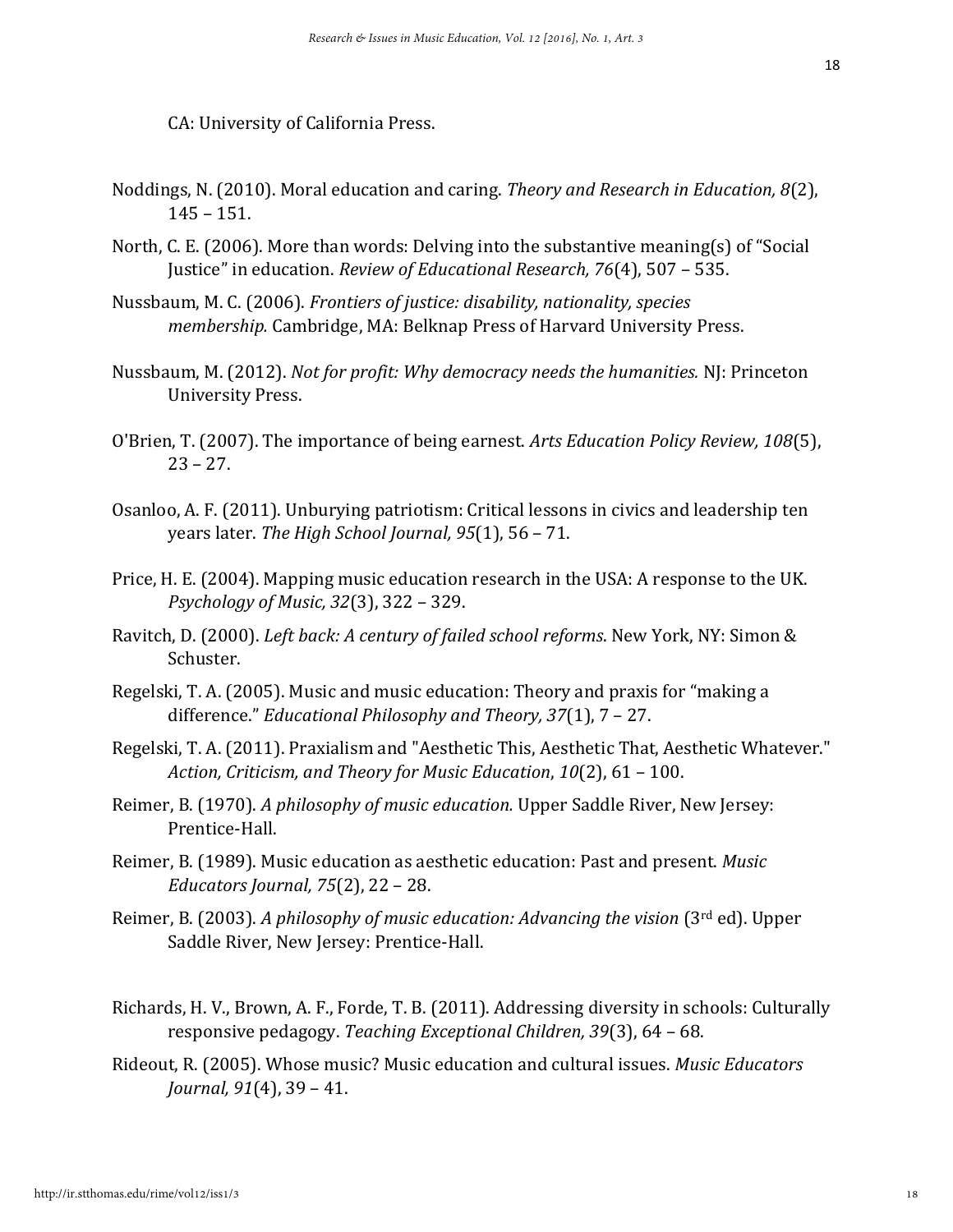CA: University of California Press.

- Noddings, N. (2010). Moral education and caring. *Theory and Research in Education, 8*(2), 145 – 151.
- North, C. E. (2006). More than words: Delving into the substantive meaning(s) of "Social Justice" in education. *Review of Educational Research, 76*(4), 507 – 535.
- Nussbaum, M. C. (2006). *Frontiers of justice: disability, nationality, species membership.* Cambridge, MA: Belknap Press of Harvard University Press.
- Nussbaum, M. (2012). *Not for profit: Why democracy needs the humanities.* NJ: Princeton University Press.
- O'Brien, T. (2007). The importance of being earnest. *Arts Education Policy Review, 108*(5),  $23 - 27.$
- Osanloo, A. F. (2011). Unburying patriotism: Critical lessons in civics and leadership ten years later. *The High School Journal, 95*(1), 56 – 71.
- Price, H. E. (2004). Mapping music education research in the USA: A response to the UK. *Psychology of Music, 32*(3), 322 – 329.
- Ravitch, D. (2000). *Left back: A century of failed school reforms*. New York, NY: Simon & Schuster.
- Regelski, T. A. (2005). Music and music education: Theory and praxis for "making a difference." *Educational Philosophy and Theory, 37*(1), 7 – 27.
- Regelski, T. A. (2011). Praxialism and "Aesthetic This, Aesthetic That, Aesthetic Whatever." *Action, Criticism, and Theory for Music Education*, *10*(2), 61 – 100.
- Reimer, B. (1970). *A philosophy of music education.* Upper Saddle River, New Jersey: Prentice-Hall.
- Reimer, B. (1989). Music education as aesthetic education: Past and present. *Music Educators Journal, 75*(2), 22 – 28.
- Reimer, B. (2003). *A philosophy of music education: Advancing the vision* (3rd ed). Upper Saddle River, New Jersey: Prentice-Hall.
- Richards, H. V., Brown, A. F., Forde, T. B. (2011). Addressing diversity in schools: Culturally responsive pedagogy. *Teaching Exceptional Children, 39*(3), 64 – 68.
- Rideout, R. (2005). Whose music? Music education and cultural issues. *Music Educators Journal, 91*(4), 39 – 41.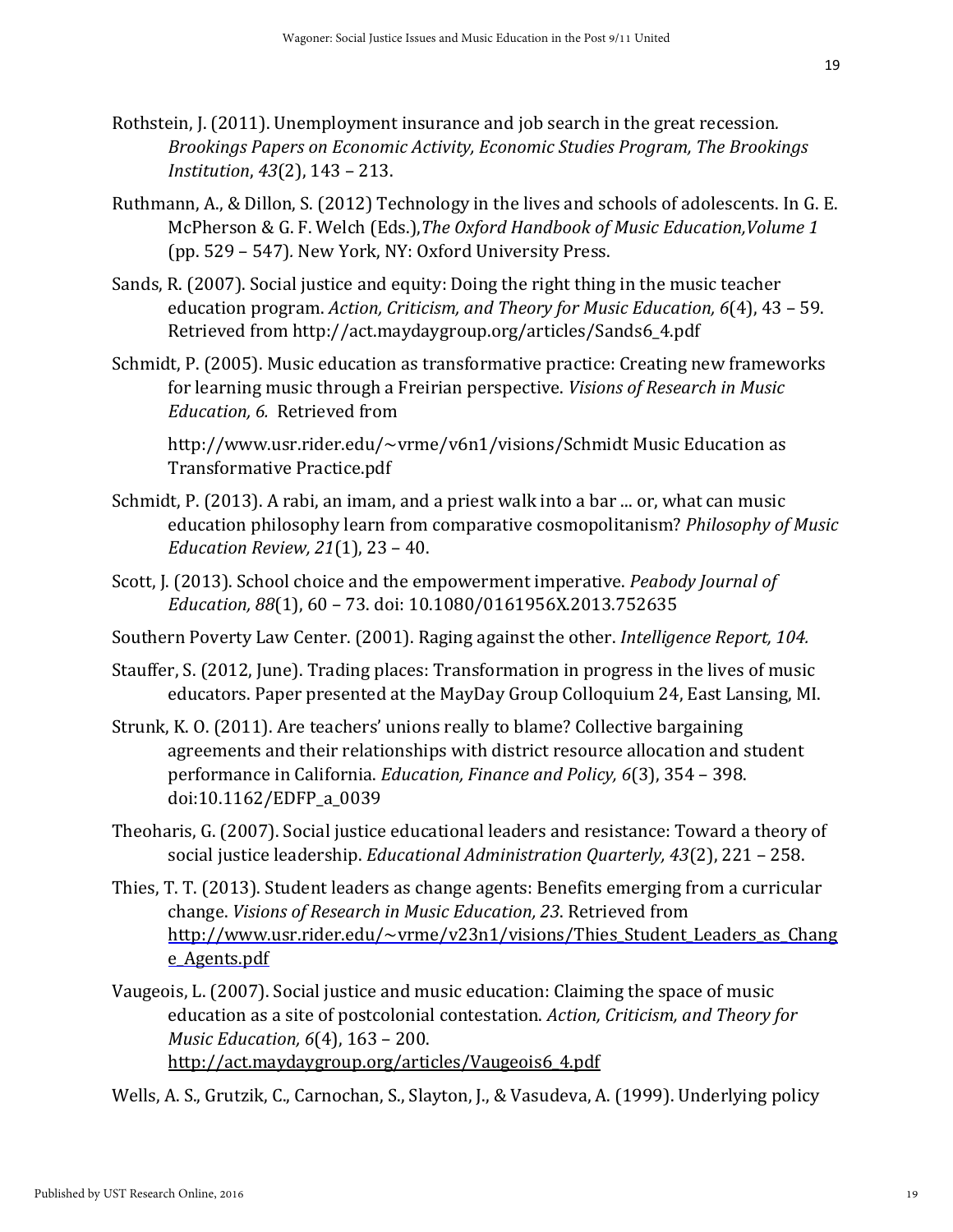- 19
- Rothstein, J. (2011). Unemployment insurance and job search in the great recession*. Brookings Papers on Economic Activity, Economic Studies Program, The Brookings Institution*, *43*(2), 143 – 213.
- Ruthmann, A., & Dillon, S. (2012) Technology in the lives and schools of adolescents. In G. E. McPherson & G. F. Welch (Eds.),*The Oxford Handbook of Music Education,Volume 1*  (pp. 529 – 547)*.* New York, NY: Oxford University Press.
- Sands, R. (2007). Social justice and equity: Doing the right thing in the music teacher education program. *Action, Criticism, and Theory for Music Education, 6*(4), 43 – 59. Retrieved from http://act.maydaygroup.org/articles/Sands6\_4.pdf
- Schmidt, P. (2005). Music education as transformative practice: Creating new frameworks for learning music through a Freirian perspective. *Visions of Research in Music Education, 6.* Retrieved from

http://www.usr.rider.edu/~vrme/v6n1/visions/Schmidt Music Education as Transformative Practice.pdf

- Schmidt, P. (2013). A rabi, an imam, and a priest walk into a bar ... or, what can music education philosophy learn from comparative cosmopolitanism? *Philosophy of Music Education Review, 21*(1), 23 – 40.
- Scott, J. (2013). School choice and the empowerment imperative. *Peabody Journal of Education, 88*(1), 60 – 73. doi: 10.1080/0161956X.2013.752635
- Southern Poverty Law Center. (2001). Raging against the other. *Intelligence Report, 104.*
- Stauffer, S. (2012, June). Trading places: Transformation in progress in the lives of music educators. Paper presented at the MayDay Group Colloquium 24, East Lansing, MI.
- Strunk, K. O. (2011). Are teachers' unions really to blame? Collective bargaining agreements and their relationships with district resource allocation and student performance in California. *Education, Finance and Policy, 6*(3), 354 – 398. doi:10.1162/EDFP\_a\_0039
- Theoharis, G. (2007). Social justice educational leaders and resistance: Toward a theory of social justice leadership. *Educational Administration Quarterly, 43*(2), 221 – 258.
- Thies, T. T. (2013). Student leaders as change agents: Benefits emerging from a curricular change. *Visions of Research in Music Education, 23*. Retrieved from http://www.usr.rider.edu/~vrme/v23n1/visions/Thies Student Leaders as Chang [e\\_Agents.pdf](http://www-usr.rider.edu/~vrme/v23n1/visions/Thies_Student_Leaders_as_Change_Agents.pdf)
- Vaugeois, L. (2007). Social justice and music education: Claiming the space of music education as a site of postcolonial contestation. *Action, Criticism, and Theory for Music Education, 6*(4), 163 – 200. [http://act.maydaygroup.org/articles/Vaugeois6\\_4.pdf](http://act.maydaygroup.org/articles/Vaugeois6_4.pdf)

Wells, A. S., Grutzik, C., Carnochan, S., Slayton, J., & Vasudeva, A. (1999). Underlying policy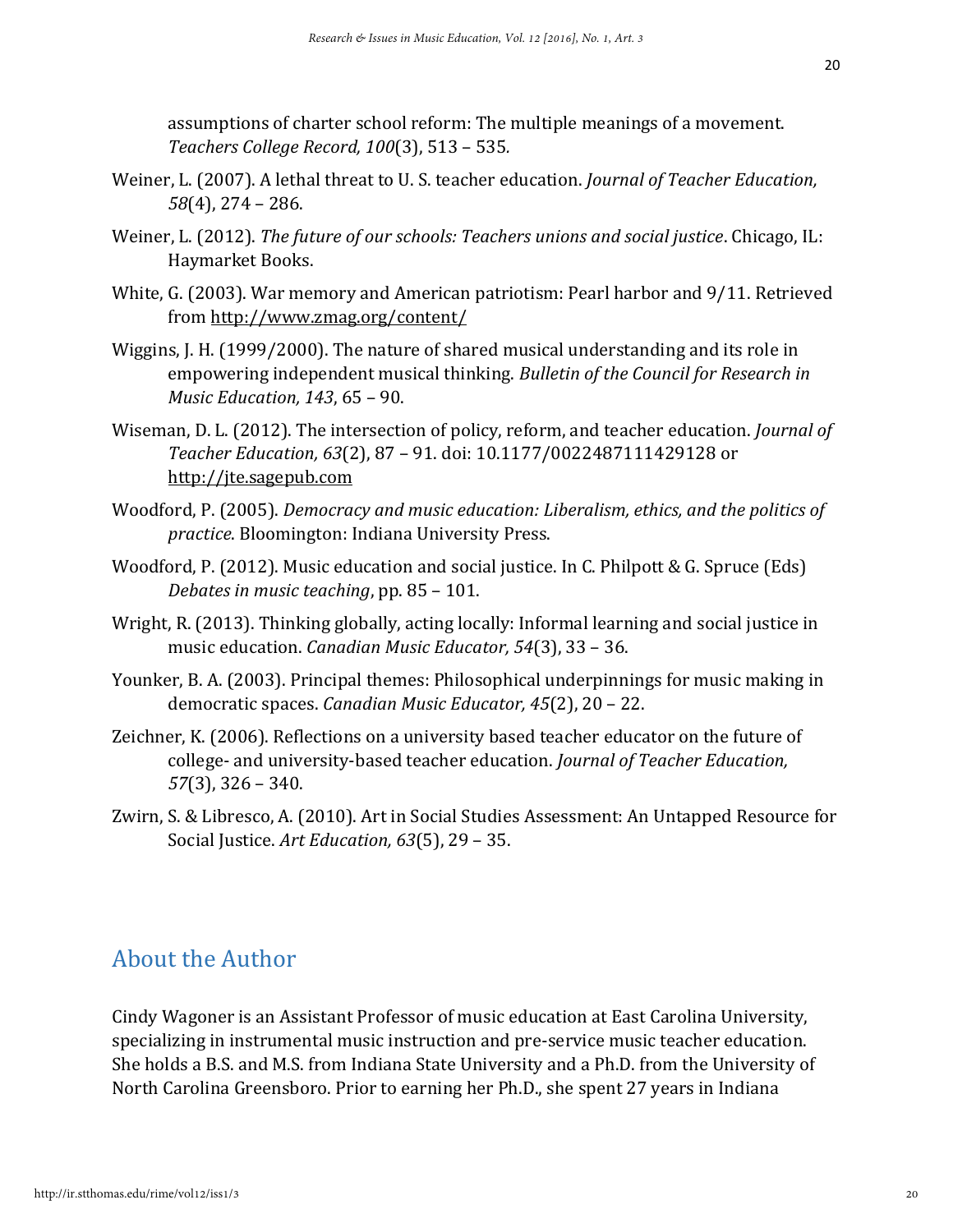assumptions of charter school reform: The multiple meanings of a movement. *Teachers College Record, 100*(3), 513 – 535*.*

- Weiner, L. (2007). A lethal threat to U. S. teacher education. *Journal of Teacher Education, 58*(4), 274 – 286.
- Weiner, L. (2012). *The future of our schools: Teachers unions and social justice*. Chicago, IL: Haymarket Books.
- White, G. (2003). War memory and American patriotism: Pearl harbor and 9/11. Retrieved from<http://www.zmag.org/content/>
- Wiggins, J. H. (1999/2000). The nature of shared musical understanding and its role in empowering independent musical thinking. *Bulletin of the Council for Research in Music Education, 143*, 65 – 90.
- Wiseman, D. L. (2012). The intersection of policy, reform, and teacher education. *Journal of Teacher Education, 63*(2), 87 – 91. doi: 10.1177/0022487111429128 or [http://jte.sagepub.com](http://jte.sagepub.com/)
- Woodford, P. (2005). *Democracy and music education: Liberalism, ethics, and the politics of practice*. Bloomington: Indiana University Press.
- Woodford, P. (2012). Music education and social justice. In C. Philpott & G. Spruce (Eds) *Debates in music teaching*, pp. 85 – 101.
- Wright, R. (2013). Thinking globally, acting locally: Informal learning and social justice in music education. *Canadian Music Educator, 54*(3), 33 – 36.
- Younker, B. A. (2003). Principal themes: Philosophical underpinnings for music making in democratic spaces. *Canadian Music Educator, 45*(2), 20 – 22.
- Zeichner, K. (2006). Reflections on a university based teacher educator on the future of college- and university-based teacher education. *Journal of Teacher Education, 57*(3), 326 – 340.
- Zwirn, S. & Libresco, A. (2010). Art in Social Studies Assessment: An Untapped Resource for Social Justice. *Art Education, 63*(5), 29 – 35.

# About the Author

Cindy Wagoner is an Assistant Professor of music education at East Carolina University, specializing in instrumental music instruction and pre-service music teacher education. She holds a B.S. and M.S. from Indiana State University and a Ph.D. from the University of North Carolina Greensboro. Prior to earning her Ph.D., she spent 27 years in Indiana